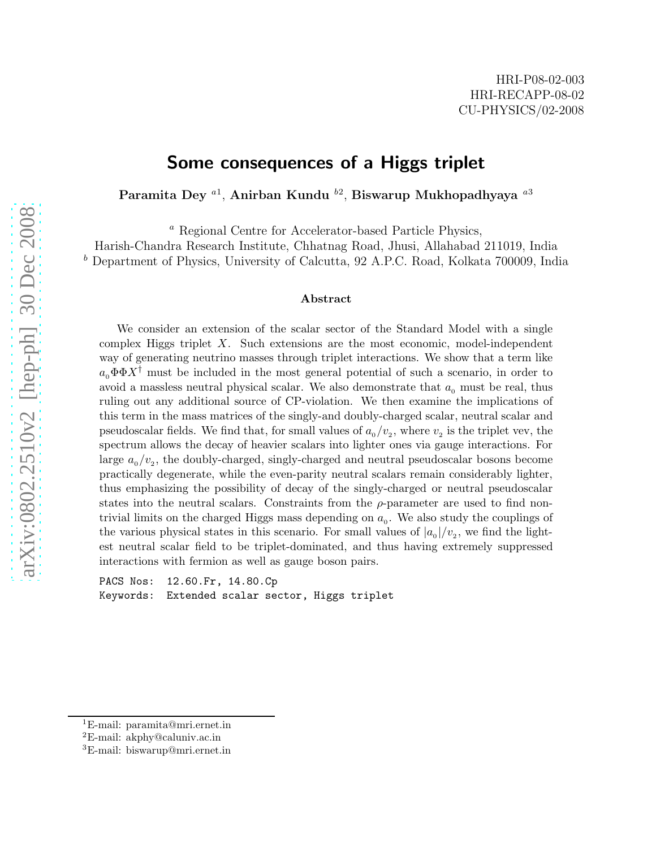## Some consequences of a Higgs triplet

Paramita Dey  $^{a1}$ , Anirban Kundu  $^{b2}$ , Biswarup Mukhopadhyaya  $^{a3}$ 

<sup>a</sup> Regional Centre for Accelerator-based Particle Physics,

Harish-Chandra Research Institute, Chhatnag Road, Jhusi, Allahabad 211019, India <sup>b</sup> Department of Physics, University of Calcutta, 92 A.P.C. Road, Kolkata 700009, India

#### Abstract

We consider an extension of the scalar sector of the Standard Model with a single complex Higgs triplet X. Such extensions are the most economic, model-independent way of generating neutrino masses through triplet interactions. We show that a term like  $a_0 \Phi \Phi X^{\dagger}$  must be included in the most general potential of such a scenario, in order to avoid a massless neutral physical scalar. We also demonstrate that  $a_0$  must be real, thus ruling out any additional source of CP-violation. We then examine the implications of this term in the mass matrices of the singly-and doubly-charged scalar, neutral scalar and pseudoscalar fields. We find that, for small values of  $a_0/v_2$ , where  $v_2$  is the triplet vev, the spectrum allows the decay of heavier scalars into lighter ones via gauge interactions. For large  $a_0/v_2$ , the doubly-charged, singly-charged and neutral pseudoscalar bosons become practically degenerate, while the even-parity neutral scalars remain considerably lighter, thus emphasizing the possibility of decay of the singly-charged or neutral pseudoscalar states into the neutral scalars. Constraints from the  $\rho$ -parameter are used to find nontrivial limits on the charged Higgs mass depending on  $a_0$ . We also study the couplings of the various physical states in this scenario. For small values of  $|a_{0}|/v_{2}$ , we find the lightest neutral scalar field to be triplet-dominated, and thus having extremely suppressed interactions with fermion as well as gauge boson pairs.

PACS Nos: 12.60.Fr, 14.80.Cp Keywords: Extended scalar sector, Higgs triplet

<sup>1</sup>E-mail: paramita@mri.ernet.in

 ${}^{2}E$ -mail: akphy@caluniv.ac.in

<sup>3</sup>E-mail: biswarup@mri.ernet.in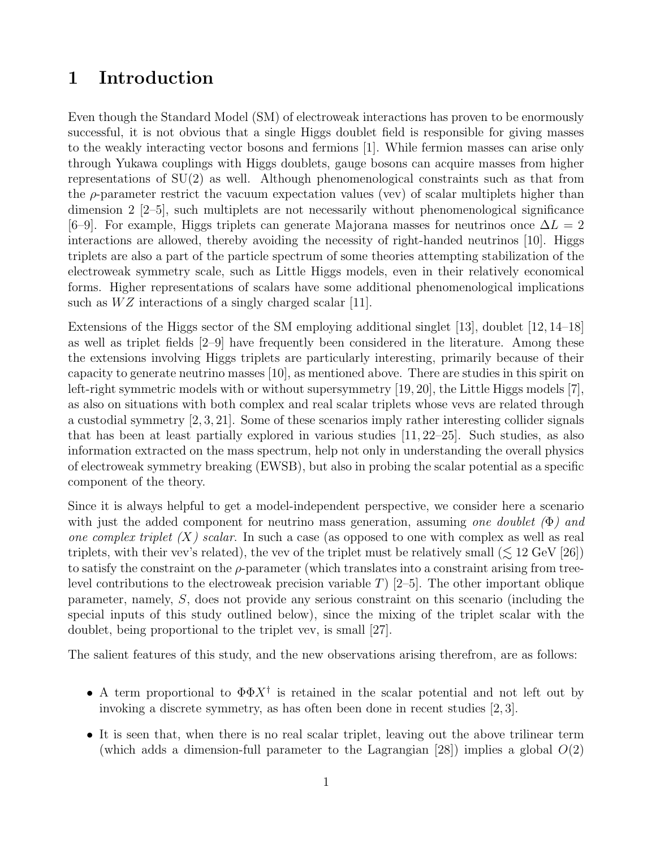## 1 Introduction

Even though the Standard Model (SM) of electroweak interactions has proven to be enormously successful, it is not obvious that a single Higgs doublet field is responsible for giving masses to the weakly interacting vector bosons and fermions [1]. While fermion masses can arise only through Yukawa couplings with Higgs doublets, gauge bosons can acquire masses from higher representations of  $SU(2)$  as well. Although phenomenological constraints such as that from the  $\rho$ -parameter restrict the vacuum expectation values (vev) of scalar multiplets higher than dimension 2 [2–5], such multiplets are not necessarily without phenomenological significance [6–9]. For example, Higgs triplets can generate Majorana masses for neutrinos once  $\Delta L = 2$ interactions are allowed, thereby avoiding the necessity of right-handed neutrinos [10]. Higgs triplets are also a part of the particle spectrum of some theories attempting stabilization of the electroweak symmetry scale, such as Little Higgs models, even in their relatively economical forms. Higher representations of scalars have some additional phenomenological implications such as  $WZ$  interactions of a singly charged scalar [11].

Extensions of the Higgs sector of the SM employing additional singlet [13], doublet [12, 14–18] as well as triplet fields [2–9] have frequently been considered in the literature. Among these the extensions involving Higgs triplets are particularly interesting, primarily because of their capacity to generate neutrino masses [10], as mentioned above. There are studies in this spirit on left-right symmetric models with or without supersymmetry [19, 20], the Little Higgs models [7], as also on situations with both complex and real scalar triplets whose vevs are related through a custodial symmetry [2, 3, 21]. Some of these scenarios imply rather interesting collider signals that has been at least partially explored in various studies [11, 22–25]. Such studies, as also information extracted on the mass spectrum, help not only in understanding the overall physics of electroweak symmetry breaking (EWSB), but also in probing the scalar potential as a specific component of the theory.

Since it is always helpful to get a model-independent perspective, we consider here a scenario with just the added component for neutrino mass generation, assuming one doublet  $(\Phi)$  and one complex triplet  $(X)$  scalar. In such a case (as opposed to one with complex as well as real triplets, with their vev's related), the vev of the triplet must be relatively small  $(\leq 12 \text{ GeV } [26])$ to satisfy the constraint on the  $\rho$ -parameter (which translates into a constraint arising from treelevel contributions to the electroweak precision variable T) [2–5]. The other important oblique parameter, namely, S, does not provide any serious constraint on this scenario (including the special inputs of this study outlined below), since the mixing of the triplet scalar with the doublet, being proportional to the triplet vev, is small [27].

The salient features of this study, and the new observations arising therefrom, are as follows:

- A term proportional to  $\Phi \Phi X^{\dagger}$  is retained in the scalar potential and not left out by invoking a discrete symmetry, as has often been done in recent studies [2, 3].
- It is seen that, when there is no real scalar triplet, leaving out the above trilinear term (which adds a dimension-full parameter to the Lagrangian [28]) implies a global  $O(2)$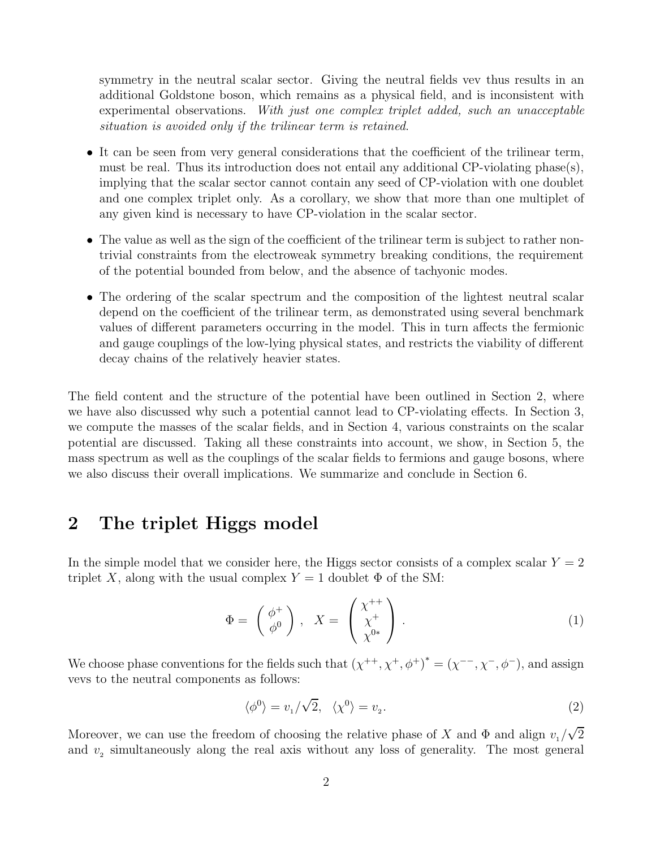symmetry in the neutral scalar sector. Giving the neutral fields vev thus results in an additional Goldstone boson, which remains as a physical field, and is inconsistent with experimental observations. With just one complex triplet added, such an unacceptable situation is avoided only if the trilinear term is retained.

- It can be seen from very general considerations that the coefficient of the trilinear term, must be real. Thus its introduction does not entail any additional CP-violating phase(s), implying that the scalar sector cannot contain any seed of CP-violation with one doublet and one complex triplet only. As a corollary, we show that more than one multiplet of any given kind is necessary to have CP-violation in the scalar sector.
- The value as well as the sign of the coefficient of the trilinear term is subject to rather nontrivial constraints from the electroweak symmetry breaking conditions, the requirement of the potential bounded from below, and the absence of tachyonic modes.
- The ordering of the scalar spectrum and the composition of the lightest neutral scalar depend on the coefficient of the trilinear term, as demonstrated using several benchmark values of different parameters occurring in the model. This in turn affects the fermionic and gauge couplings of the low-lying physical states, and restricts the viability of different decay chains of the relatively heavier states.

The field content and the structure of the potential have been outlined in Section 2, where we have also discussed why such a potential cannot lead to CP-violating effects. In Section 3, we compute the masses of the scalar fields, and in Section 4, various constraints on the scalar potential are discussed. Taking all these constraints into account, we show, in Section 5, the mass spectrum as well as the couplings of the scalar fields to fermions and gauge bosons, where we also discuss their overall implications. We summarize and conclude in Section 6.

# 2 The triplet Higgs model

In the simple model that we consider here, the Higgs sector consists of a complex scalar  $Y = 2$ triplet X, along with the usual complex  $Y = 1$  doublet  $\Phi$  of the SM:

$$
\Phi = \begin{pmatrix} \phi^+ \\ \phi^0 \end{pmatrix}, \quad X = \begin{pmatrix} \chi^{++} \\ \chi^+ \\ \chi^{0*} \end{pmatrix}.
$$
 (1)

We choose phase conventions for the fields such that  $(\chi^{++}, \chi^+, \phi^+)^* = (\chi^{--}, \chi^-, \phi^-)$ , and assign vevs to the neutral components as follows:

$$
\langle \phi^0 \rangle = v_1 / \sqrt{2}, \quad \langle \chi^0 \rangle = v_2. \tag{2}
$$

Moreover, we can use the freedom of choosing the relative phase of X and  $\Phi$  and align  $v_1/\sqrt{2}$ and  $v<sub>2</sub>$  simultaneously along the real axis without any loss of generality. The most general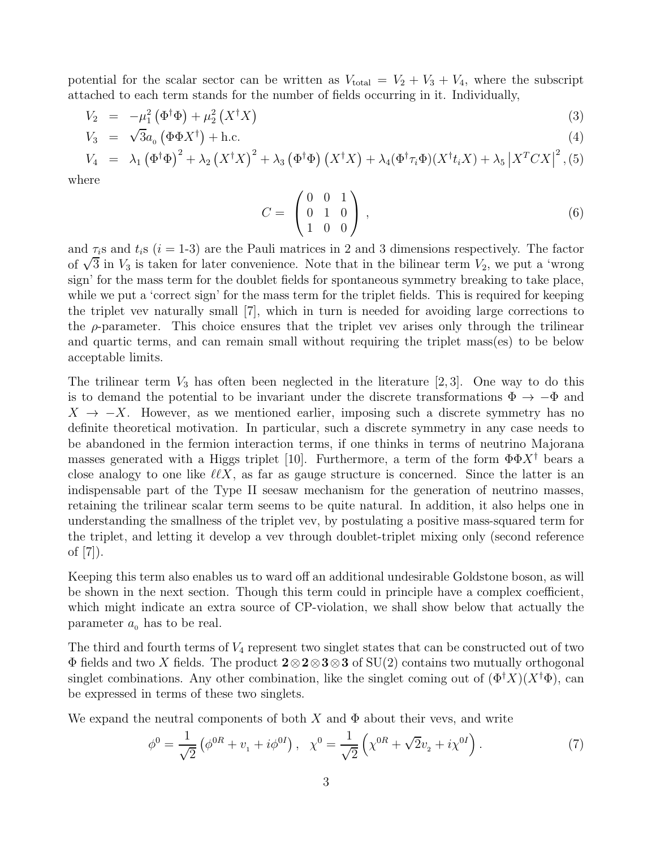potential for the scalar sector can be written as  $V_{total} = V_2 + V_3 + V_4$ , where the subscript attached to each term stands for the number of fields occurring in it. Individually,

$$
V_2 = -\mu_1^2 \left(\Phi^\dagger \Phi\right) + \mu_2^2 \left(X^\dagger X\right) \tag{3}
$$

$$
V_3 = \sqrt{3}a_0 \left(\Phi \Phi X^{\dagger}\right) + \text{h.c.}
$$
\n<sup>(4)</sup>

$$
V_4 = \lambda_1 (\Phi^{\dagger} \Phi)^2 + \lambda_2 (X^{\dagger} X)^2 + \lambda_3 (\Phi^{\dagger} \Phi) (X^{\dagger} X) + \lambda_4 (\Phi^{\dagger} \tau_i \Phi) (X^{\dagger} t_i X) + \lambda_5 |X^T C X|^2, (5)
$$
 here

where

$$
C = \begin{pmatrix} 0 & 0 & 1 \\ 0 & 1 & 0 \\ 1 & 0 & 0 \end{pmatrix}, \tag{6}
$$

and  $\tau_i$ s and  $t_i$ s (i = 1-3) are the Pauli matrices in 2 and 3 dimensions respectively. The factor of  $\sqrt{3}$  in  $V_3$  is taken for later convenience. Note that in the bilinear term  $V_2$ , we put a 'wrong sign' for the mass term for the doublet fields for spontaneous symmetry breaking to take place, while we put a 'correct sign' for the mass term for the triplet fields. This is required for keeping the triplet vev naturally small [7], which in turn is needed for avoiding large corrections to the  $\rho$ -parameter. This choice ensures that the triplet vev arises only through the trilinear and quartic terms, and can remain small without requiring the triplet mass(es) to be below acceptable limits.

The trilinear term  $V_3$  has often been neglected in the literature [2,3]. One way to do this is to demand the potential to be invariant under the discrete transformations  $\Phi \to -\Phi$  and  $X \to -X$ . However, as we mentioned earlier, imposing such a discrete symmetry has no definite theoretical motivation. In particular, such a discrete symmetry in any case needs to be abandoned in the fermion interaction terms, if one thinks in terms of neutrino Majorana masses generated with a Higgs triplet [10]. Furthermore, a term of the form  $\Phi \Phi X^{\dagger}$  bears a close analogy to one like  $\ell\ell X$ , as far as gauge structure is concerned. Since the latter is an indispensable part of the Type II seesaw mechanism for the generation of neutrino masses, retaining the trilinear scalar term seems to be quite natural. In addition, it also helps one in understanding the smallness of the triplet vev, by postulating a positive mass-squared term for the triplet, and letting it develop a vev through doublet-triplet mixing only (second reference of [7]).

Keeping this term also enables us to ward off an additional undesirable Goldstone boson, as will be shown in the next section. Though this term could in principle have a complex coefficient, which might indicate an extra source of CP-violation, we shall show below that actually the parameter  $a_0$  has to be real.

The third and fourth terms of  $V_4$  represent two singlet states that can be constructed out of two  $\Phi$  fields and two X fields. The product  $2 \otimes 2 \otimes 3 \otimes 3$  of SU(2) contains two mutually orthogonal singlet combinations. Any other combination, like the singlet coming out of  $(\Phi^{\dagger} X)(X^{\dagger} \Phi)$ , can be expressed in terms of these two singlets.

We expand the neutral components of both X and  $\Phi$  about their vevs, and write

$$
\phi^0 = \frac{1}{\sqrt{2}} \left( \phi^{0R} + v_1 + i\phi^{0I} \right), \quad \chi^0 = \frac{1}{\sqrt{2}} \left( \chi^{0R} + \sqrt{2}v_2 + i\chi^{0I} \right). \tag{7}
$$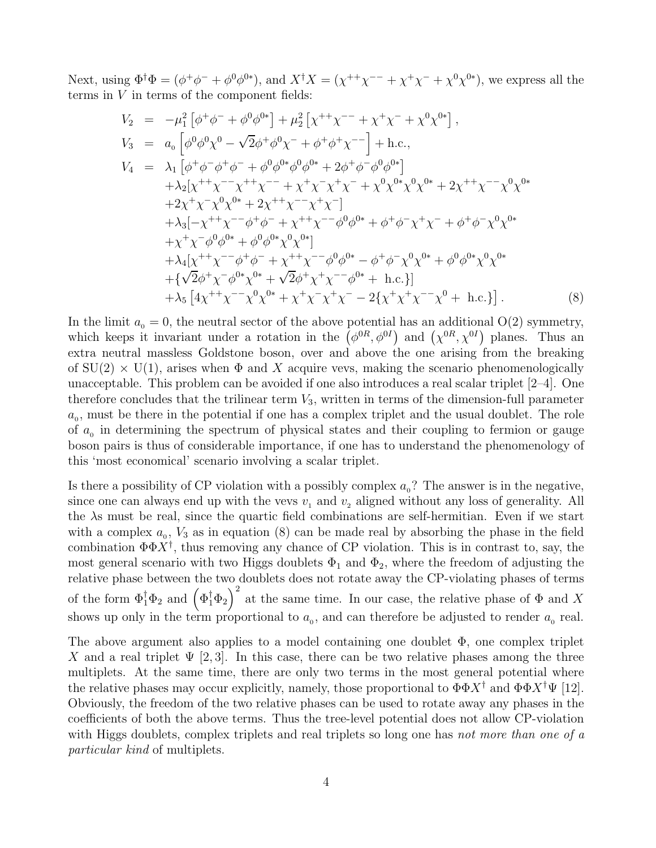Next, using  $\Phi^{\dagger} \Phi = (\phi^+ \phi^- + \phi^0 \phi^{0*})$ , and  $X^{\dagger} X = (\chi^{++} \chi^{--} + \chi^+ \chi^- + \chi^0 \chi^{0*})$ , we express all the terms in  $V$  in terms of the component fields:

$$
V_2 = -\mu_1^2 \left[ \phi^+ \phi^- + \phi^0 \phi^{0*} \right] + \mu_2^2 \left[ \chi^{++} \chi^{--} + \chi^+ \chi^- + \chi^0 \chi^{0*} \right],
$$
  
\n
$$
V_3 = a_0 \left[ \phi^0 \phi^0 \chi^0 - \sqrt{2} \phi^+ \phi^0 \chi^- + \phi^+ \phi^+ \chi^{--} \right] + \text{h.c.},
$$
  
\n
$$
V_4 = \lambda_1 \left[ \phi^+ \phi^- \phi^+ \phi^- + \phi^0 \phi^{0*} \phi^0 \phi^{0*} + 2 \phi^+ \phi^- \phi^0 \phi^{0*} \right]
$$
  
\n
$$
+ \lambda_2 \left[ \chi^{++} \chi^{--} \chi^{++} \chi^{--} + \chi^+ \chi^- \chi^+ \chi^- + \chi^0 \chi^{0*} \chi^0 \chi^{0*} + 2 \chi^{++} \chi^{--} \chi^0 \chi^{0*} \right]
$$
  
\n
$$
+ 2 \chi^+ \chi^- \chi^0 \chi^{0*} + 2 \chi^{++} \chi^{--} \chi^+ \chi^- \right]
$$
  
\n
$$
+ \lambda_3 \left[ -\chi^{++} \chi^{--} \phi^+ \phi^- + \chi^{++} \chi^{--} \phi^0 \phi^{0*} + \phi^+ \phi^- \chi^+ \chi^- + \phi^+ \phi^- \chi^0 \chi^{0*} \right]
$$
  
\n
$$
+ \lambda_4 \left[ \chi^{++} \chi^{--} \phi^+ \phi^- + \chi^{++} \chi^{--} \phi^0 \phi^{0*} - \phi^+ \phi^- \chi^0 \chi^{0*} + \phi^0 \phi^{0*} \chi^0 \chi^{0*} \right]
$$
  
\n
$$
+ \lambda_4 \left[ \chi^{++} \chi^{--} \phi^+ \phi^- + \chi^{++} \chi^{--} \phi^0 \phi^{0*} - \phi^+ \phi^- \chi^0 \chi^{0*} + \phi^0 \phi^{0*} \chi^0 \chi^{0*} \right]
$$
  
\n
$$
+ \{\sqrt{2} \phi^+ \chi^- \phi^{0*} \chi^{0*} + \sqrt{2} \phi^+ \chi^+ \chi^{--} \phi^{0*} + \text{h.c.} \}
$$
  
\n<

In the limit  $a_0 = 0$ , the neutral sector of the above potential has an additional  $O(2)$  symmetry, which keeps it invariant under a rotation in the  $(\phi^{0R}, \phi^{0I})$  and  $(\chi^{0R}, \chi^{0I})$  planes. Thus an extra neutral massless Goldstone boson, over and above the one arising from the breaking of  $SU(2) \times U(1)$ , arises when  $\Phi$  and X acquire vevs, making the scenario phenomenologically unacceptable. This problem can be avoided if one also introduces a real scalar triplet [2–4]. One therefore concludes that the trilinear term  $V_3$ , written in terms of the dimension-full parameter  $a_0$ , must be there in the potential if one has a complex triplet and the usual doublet. The role of  $a_0$  in determining the spectrum of physical states and their coupling to fermion or gauge boson pairs is thus of considerable importance, if one has to understand the phenomenology of this 'most economical' scenario involving a scalar triplet.

Is there a possibility of CP violation with a possibly complex  $a_0$ ? The answer is in the negative, since one can always end up with the vevs  $v_1$  and  $v_2$  aligned without any loss of generality. All the λs must be real, since the quartic field combinations are self-hermitian. Even if we start with a complex  $a_0$ ,  $V_3$  as in equation (8) can be made real by absorbing the phase in the field combination  $\Phi \Phi X^{\dagger}$ , thus removing any chance of CP violation. This is in contrast to, say, the most general scenario with two Higgs doublets  $\Phi_1$  and  $\Phi_2$ , where the freedom of adjusting the relative phase between the two doublets does not rotate away the CP-violating phases of terms of the form  $\Phi_1^{\dagger} \Phi_2$  and  $(\Phi_1^{\dagger} \Phi_2)^2$  at the same time. In our case, the relative phase of  $\Phi$  and X shows up only in the term proportional to  $a_0$ , and can therefore be adjusted to render  $a_0$  real.

The above argument also applies to a model containing one doublet  $\Phi$ , one complex triplet X and a real triplet  $\Psi$  [2,3]. In this case, there can be two relative phases among the three multiplets. At the same time, there are only two terms in the most general potential where the relative phases may occur explicitly, namely, those proportional to  $\Phi \Phi X^{\dagger}$  and  $\Phi \Phi X^{\dagger} \Psi$  [12]. Obviously, the freedom of the two relative phases can be used to rotate away any phases in the coefficients of both the above terms. Thus the tree-level potential does not allow CP-violation with Higgs doublets, complex triplets and real triplets so long one has not more than one of a particular kind of multiplets.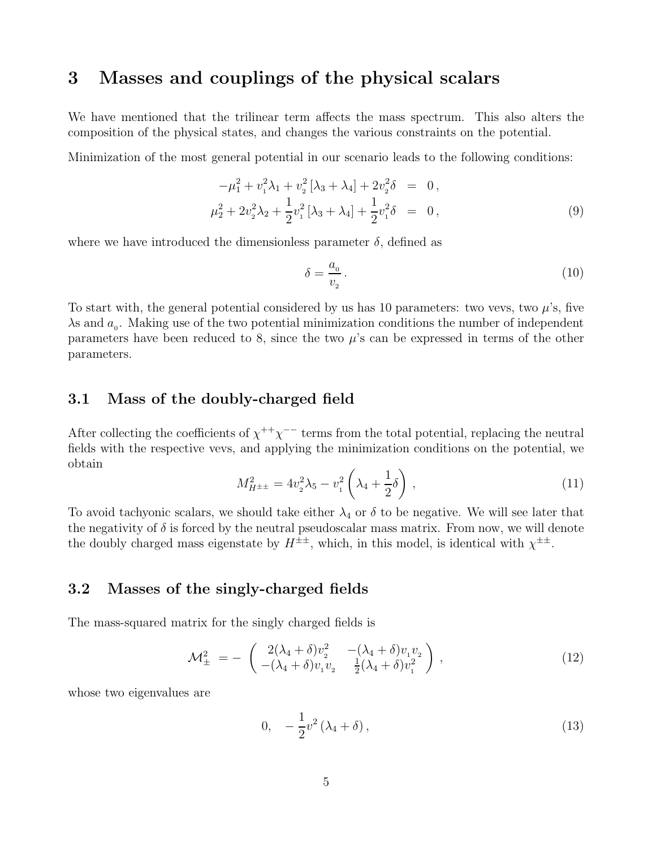## 3 Masses and couplings of the physical scalars

We have mentioned that the trilinear term affects the mass spectrum. This also alters the composition of the physical states, and changes the various constraints on the potential.

Minimization of the most general potential in our scenario leads to the following conditions:

$$
-\mu_1^2 + v_1^2 \lambda_1 + v_2^2 [\lambda_3 + \lambda_4] + 2v_2^2 \delta = 0,
$$
  

$$
\mu_2^2 + 2v_2^2 \lambda_2 + \frac{1}{2} v_1^2 [\lambda_3 + \lambda_4] + \frac{1}{2} v_1^2 \delta = 0,
$$
 (9)

where we have introduced the dimensionless parameter  $\delta$ , defined as

$$
\delta = \frac{a_0}{v_2} \,. \tag{10}
$$

To start with, the general potential considered by us has 10 parameters: two vevs, two  $\mu$ 's, five  $\lambda$ s and  $a_0$ . Making use of the two potential minimization conditions the number of independent parameters have been reduced to 8, since the two  $\mu$ 's can be expressed in terms of the other parameters.

### 3.1 Mass of the doubly-charged field

After collecting the coefficients of  $\chi^{++}\chi^{--}$  terms from the total potential, replacing the neutral fields with the respective vevs, and applying the minimization conditions on the potential, we obtain

$$
M_{H^{\pm \pm}}^2 = 4v_2^2 \lambda_5 - v_1^2 \left(\lambda_4 + \frac{1}{2}\delta\right) \,,\tag{11}
$$

To avoid tachyonic scalars, we should take either  $\lambda_4$  or  $\delta$  to be negative. We will see later that the negativity of  $\delta$  is forced by the neutral pseudoscalar mass matrix. From now, we will denote the doubly charged mass eigenstate by  $H^{\pm\pm}$ , which, in this model, is identical with  $\chi^{\pm\pm}$ .

### 3.2 Masses of the singly-charged fields

The mass-squared matrix for the singly charged fields is

$$
\mathcal{M}_{\pm}^{2} = -\begin{pmatrix} 2(\lambda_{4} + \delta)v_{2}^{2} & -(\lambda_{4} + \delta)v_{1}v_{2} \\ -(\lambda_{4} + \delta)v_{1}v_{2} & \frac{1}{2}(\lambda_{4} + \delta)v_{1}^{2} \end{pmatrix},
$$
\n(12)

whose two eigenvalues are

$$
0, \quad -\frac{1}{2}v^2\left(\lambda_4 + \delta\right),\tag{13}
$$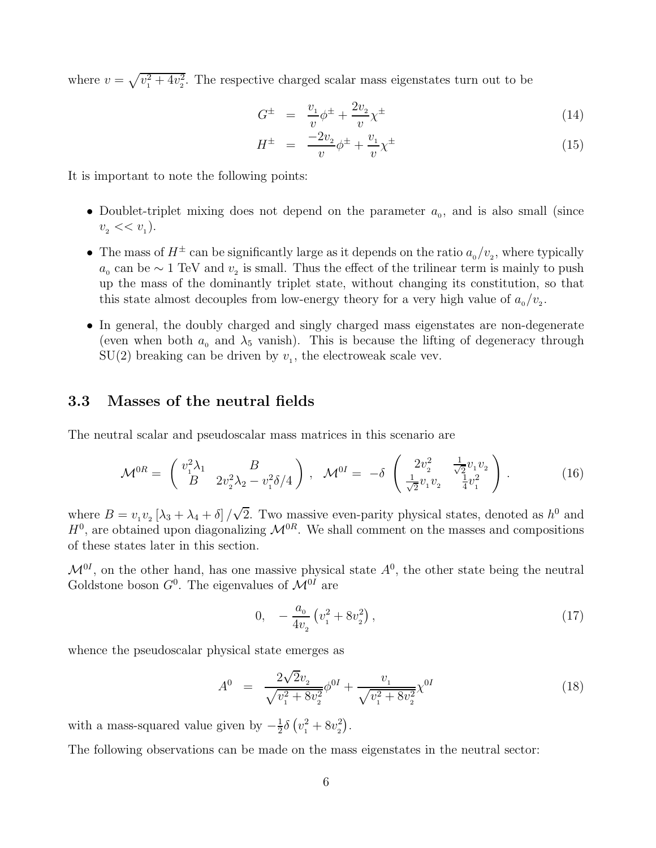where  $v = \sqrt{v_1^2 + 4v_2^2}$ . The respective charged scalar mass eigenstates turn out to be

$$
G^{\pm} = \frac{v_1}{v} \phi^{\pm} + \frac{2v_2}{v} \chi^{\pm}
$$
 (14)

$$
H^{\pm} = \frac{-2v_2}{v} \phi^{\pm} + \frac{v_1}{v} \chi^{\pm}
$$
 (15)

It is important to note the following points:

- Doublet-triplet mixing does not depend on the parameter  $a_0$ , and is also small (since  $v_{2} << v_{1}$ ).
- The mass of  $H^{\pm}$  can be significantly large as it depends on the ratio  $a_0/v_2$ , where typically  $a_0$  can be ∼ 1 TeV and  $v_2$  is small. Thus the effect of the trilinear term is mainly to push up the mass of the dominantly triplet state, without changing its constitution, so that this state almost decouples from low-energy theory for a very high value of  $a_0 / v_2$ .
- In general, the doubly charged and singly charged mass eigenstates are non-degenerate (even when both  $a_0$  and  $\lambda_5$  vanish). This is because the lifting of degeneracy through  $SU(2)$  breaking can be driven by  $v_1$ , the electroweak scale vev.

### 3.3 Masses of the neutral fields

The neutral scalar and pseudoscalar mass matrices in this scenario are

$$
\mathcal{M}^{0R} = \begin{pmatrix} v_1^2 \lambda_1 & B \\ B & 2v_2^2 \lambda_2 - v_1^2 \delta/4 \end{pmatrix}, \quad \mathcal{M}^{0I} = -\delta \begin{pmatrix} 2v_2^2 & \frac{1}{\sqrt{2}} v_1 v_2 \\ \frac{1}{\sqrt{2}} v_1 v_2 & \frac{1}{4} v_1^2 \end{pmatrix}.
$$
 (16)

where  $B = v_1 v_2 [\lambda_3 + \lambda_4 + \delta] / \sqrt{2}$ . Two massive even-parity physical states, denoted as  $h^0$  and  $H^0$ , are obtained upon diagonalizing  $\mathcal{M}^{0R}$ . We shall comment on the masses and compositions of these states later in this section.

 $\mathcal{M}^{0I}$ , on the other hand, has one massive physical state  $A^{0}$ , the other state being the neutral Goldstone boson  $G^0$ . The eigenvalues of  $\mathcal{M}^{0I}$  are

$$
0, \quad -\frac{a_0}{4v_2} \left(v_1^2 + 8v_2^2\right), \tag{17}
$$

whence the pseudoscalar physical state emerges as

$$
A^{0} = \frac{2\sqrt{2}v_{2}}{\sqrt{v_{1}^{2} + 8v_{2}^{2}}} \phi^{0I} + \frac{v_{1}}{\sqrt{v_{1}^{2} + 8v_{2}^{2}}} \chi^{0I}
$$
\n(18)

with a mass-squared value given by  $-\frac{1}{2}$  $\frac{1}{2}\delta (v_1^2 + 8v_2^2)$  $\binom{2}{2}$  .

The following observations can be made on the mass eigenstates in the neutral sector: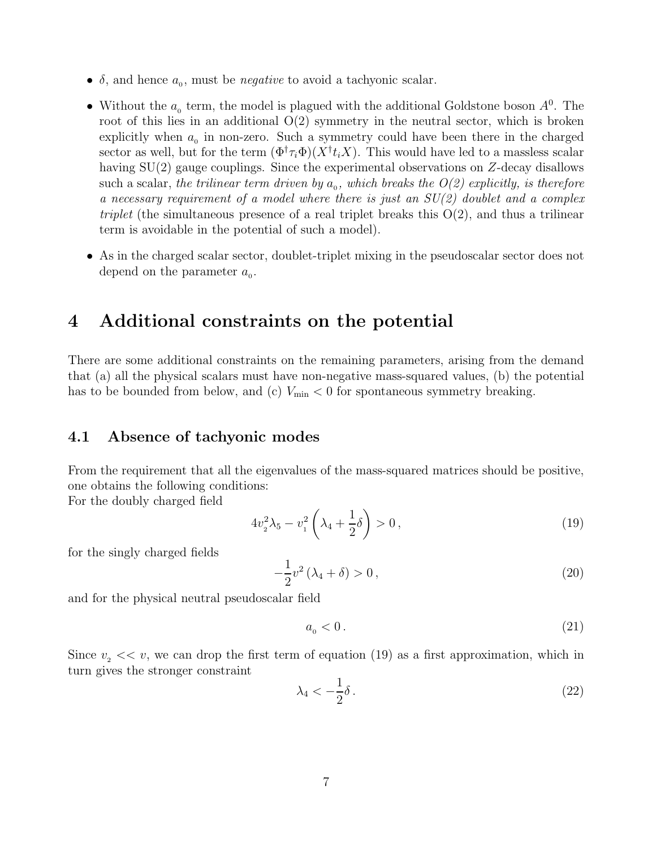- $\delta$ , and hence  $a_0$ , must be *negative* to avoid a tachyonic scalar.
- Without the  $a_0$  term, the model is plagued with the additional Goldstone boson  $A^0$ . The root of this lies in an additional  $O(2)$  symmetry in the neutral sector, which is broken explicitly when  $a_0$  in non-zero. Such a symmetry could have been there in the charged sector as well, but for the term  $(\Phi^{\dagger} \tau_i \Phi)(X^{\dagger} t_i X)$ . This would have led to a massless scalar having SU(2) gauge couplings. Since the experimental observations on Z-decay disallows such a scalar, the trilinear term driven by  $a_0$ , which breaks the  $O(2)$  explicitly, is therefore a necessary requirement of a model where there is just an  $SU(2)$  doublet and a complex triplet (the simultaneous presence of a real triplet breaks this  $O(2)$ , and thus a trilinear term is avoidable in the potential of such a model).
- As in the charged scalar sector, doublet-triplet mixing in the pseudoscalar sector does not depend on the parameter  $a_0$ .

## 4 Additional constraints on the potential

There are some additional constraints on the remaining parameters, arising from the demand that (a) all the physical scalars must have non-negative mass-squared values, (b) the potential has to be bounded from below, and (c)  $V_{\text{min}} < 0$  for spontaneous symmetry breaking.

### 4.1 Absence of tachyonic modes

From the requirement that all the eigenvalues of the mass-squared matrices should be positive, one obtains the following conditions:

For the doubly charged field

$$
4v_2^2\lambda_5 - v_1^2\left(\lambda_4 + \frac{1}{2}\delta\right) > 0\,,\tag{19}
$$

for the singly charged fields

$$
-\frac{1}{2}v^2\left(\lambda_4 + \delta\right) > 0\,,\tag{20}
$$

and for the physical neutral pseudoscalar field

$$
a_{\scriptscriptstyle 0}<0\,. \tag{21}
$$

Since  $v_2 \ll v$ , we can drop the first term of equation (19) as a first approximation, which in turn gives the stronger constraint

$$
\lambda_4 < -\frac{1}{2}\delta \,. \tag{22}
$$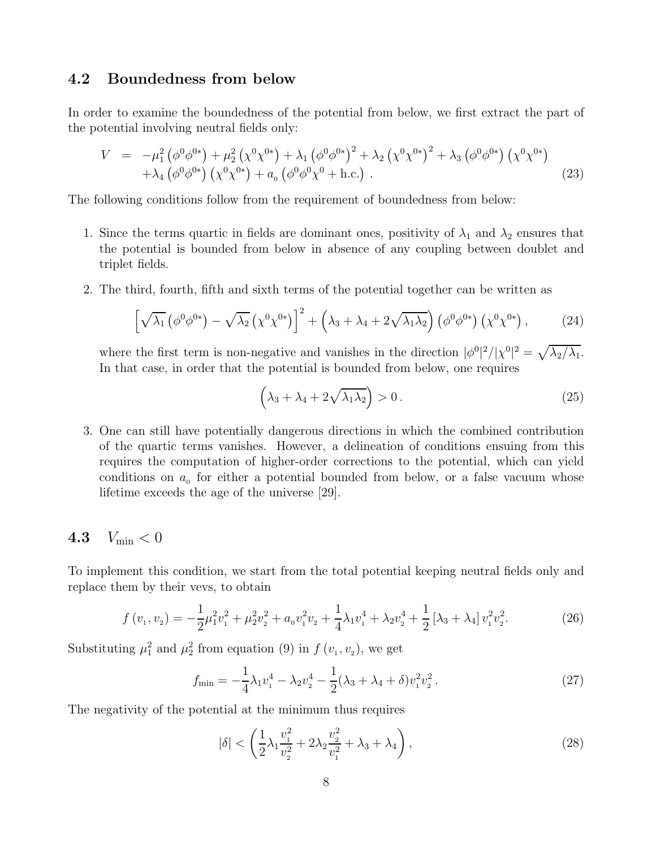### 4.2 Boundedness from below

In order to examine the boundedness of the potential from below, we first extract the part of the potential involving neutral fields only:

$$
V = -\mu_1^2 (\phi^0 \phi^{0*}) + \mu_2^2 (\chi^0 \chi^{0*}) + \lambda_1 (\phi^0 \phi^{0*})^2 + \lambda_2 (\chi^0 \chi^{0*})^2 + \lambda_3 (\phi^0 \phi^{0*}) (\chi^0 \chi^{0*}) + \lambda_4 (\phi^0 \phi^{0*}) (\chi^0 \chi^{0*}) + a_0 (\phi^0 \phi^0 \chi^0 + \text{h.c.}).
$$
\n(23)

The following conditions follow from the requirement of boundedness from below:

- 1. Since the terms quartic in fields are dominant ones, positivity of  $\lambda_1$  and  $\lambda_2$  ensures that the potential is bounded from below in absence of any coupling between doublet and triplet fields.
- 2. The third, fourth, fifth and sixth terms of the potential together can be written as

$$
\left[\sqrt{\lambda_1} \left(\phi^0 \phi^{0*}\right) - \sqrt{\lambda_2} \left(\chi^0 \chi^{0*}\right)\right]^2 + \left(\lambda_3 + \lambda_4 + 2\sqrt{\lambda_1 \lambda_2}\right) \left(\phi^0 \phi^{0*}\right) \left(\chi^0 \chi^{0*}\right),\tag{24}
$$

where the first term is non-negative and vanishes in the direction  $|\phi^0|^2/|\chi^0|^2 = \sqrt{\lambda_2/\lambda_1}$ . In that case, in order that the potential is bounded from below, one requires

$$
\left(\lambda_3 + \lambda_4 + 2\sqrt{\lambda_1 \lambda_2}\right) > 0. \tag{25}
$$

3. One can still have potentially dangerous directions in which the combined contribution of the quartic terms vanishes. However, a delineation of conditions ensuing from this requires the computation of higher-order corrections to the potential, which can yield conditions on  $a_0$  for either a potential bounded from below, or a false vacuum whose lifetime exceeds the age of the universe [29].

### 4.3  $V_{\text{min}} < 0$

To implement this condition, we start from the total potential keeping neutral fields only and replace them by their vevs, to obtain

$$
f(v_1, v_2) = -\frac{1}{2}\mu_1^2 v_1^2 + \mu_2^2 v_2^2 + a_0 v_1^2 v_2 + \frac{1}{4}\lambda_1 v_1^4 + \lambda_2 v_2^4 + \frac{1}{2} [\lambda_3 + \lambda_4] v_1^2 v_2^2.
$$
 (26)

Substituting  $\mu_1^2$  and  $\mu_2^2$  from equation (9) in  $f(v_1, v_2)$ , we get

$$
f_{\min} = -\frac{1}{4}\lambda_1 v_1^4 - \lambda_2 v_2^4 - \frac{1}{2}(\lambda_3 + \lambda_4 + \delta)v_1^2 v_2^2.
$$
 (27)

The negativity of the potential at the minimum thus requires

$$
|\delta| < \left(\frac{1}{2}\lambda_1 \frac{v_1^2}{v_2^2} + 2\lambda_2 \frac{v_2^2}{v_1^2} + \lambda_3 + \lambda_4\right),\tag{28}
$$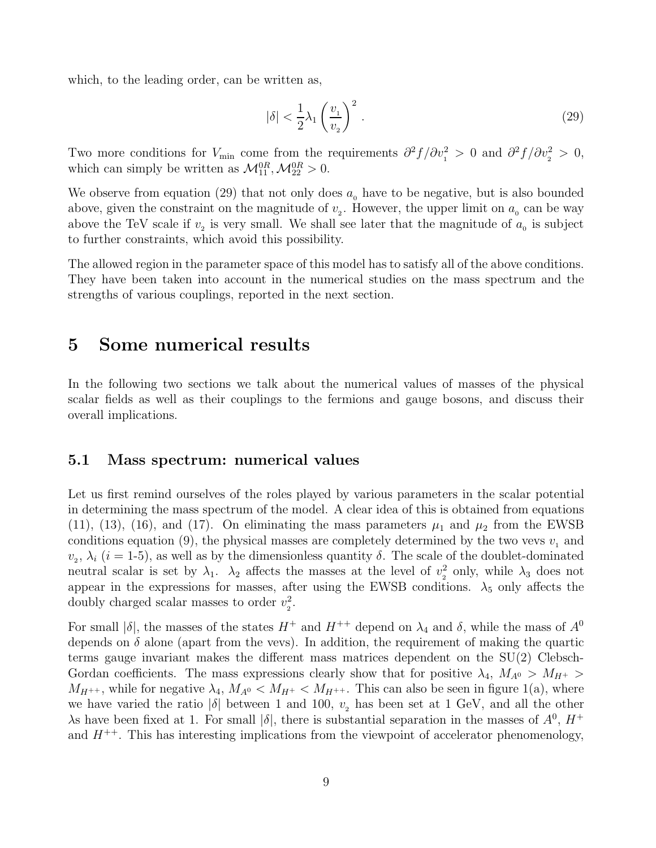which, to the leading order, can be written as,

$$
|\delta| < \frac{1}{2}\lambda_1 \left(\frac{v_1}{v_2}\right)^2. \tag{29}
$$

Two more conditions for  $V_{\text{min}}$  come from the requirements  $\partial^2 f / \partial v_1^2 > 0$  and  $\partial^2 f / \partial v_2^2 > 0$ , which can simply be written as  $\mathcal{M}_{11}^{0R}, \mathcal{M}_{22}^{0R} > 0$ .

We observe from equation (29) that not only does  $a_0$  have to be negative, but is also bounded above, given the constraint on the magnitude of  $v<sub>2</sub>$ . However, the upper limit on  $a<sub>o</sub>$  can be way above the TeV scale if  $v<sub>2</sub>$  is very small. We shall see later that the magnitude of  $a<sub>0</sub>$  is subject to further constraints, which avoid this possibility.

The allowed region in the parameter space of this model has to satisfy all of the above conditions. They have been taken into account in the numerical studies on the mass spectrum and the strengths of various couplings, reported in the next section.

### 5 Some numerical results

In the following two sections we talk about the numerical values of masses of the physical scalar fields as well as their couplings to the fermions and gauge bosons, and discuss their overall implications.

#### 5.1 Mass spectrum: numerical values

Let us first remind ourselves of the roles played by various parameters in the scalar potential in determining the mass spectrum of the model. A clear idea of this is obtained from equations (11), (13), (16), and (17). On eliminating the mass parameters  $\mu_1$  and  $\mu_2$  from the EWSB conditions equation (9), the physical masses are completely determined by the two vevs  $v_1$  and  $v_2, \lambda_i$  (i = 1-5), as well as by the dimensionless quantity  $\delta$ . The scale of the doublet-dominated neutral scalar is set by  $\lambda_1$ .  $\lambda_2$  affects the masses at the level of  $v_2^2$  $\frac{2}{2}$  only, while  $\lambda_3$  does not appear in the expressions for masses, after using the EWSB conditions.  $\lambda_5$  only affects the doubly charged scalar masses to order  $v_2^2$  $\frac{2}{2}.$ 

For small  $|\delta|$ , the masses of the states  $H^+$  and  $H^{++}$  depend on  $\lambda_4$  and  $\delta$ , while the mass of  $A^0$ depends on  $\delta$  alone (apart from the vevs). In addition, the requirement of making the quartic terms gauge invariant makes the different mass matrices dependent on the SU(2) Clebsch-Gordan coefficients. The mass expressions clearly show that for positive  $\lambda_4$ ,  $M_{A^0} > M_{H^+} >$  $M_{H^{++}}$ , while for negative  $\lambda_4$ ,  $M_{A^0}$  <  $M_{H^+}$  <  $M_{H^{++}}$ . This can also be seen in figure 1(a), where we have varied the ratio  $|\delta|$  between 1 and 100,  $v_2$  has been set at 1 GeV, and all the other As have been fixed at 1. For small  $|\delta|$ , there is substantial separation in the masses of  $A^0$ ,  $H^+$ and  $H^{++}$ . This has interesting implications from the viewpoint of accelerator phenomenology,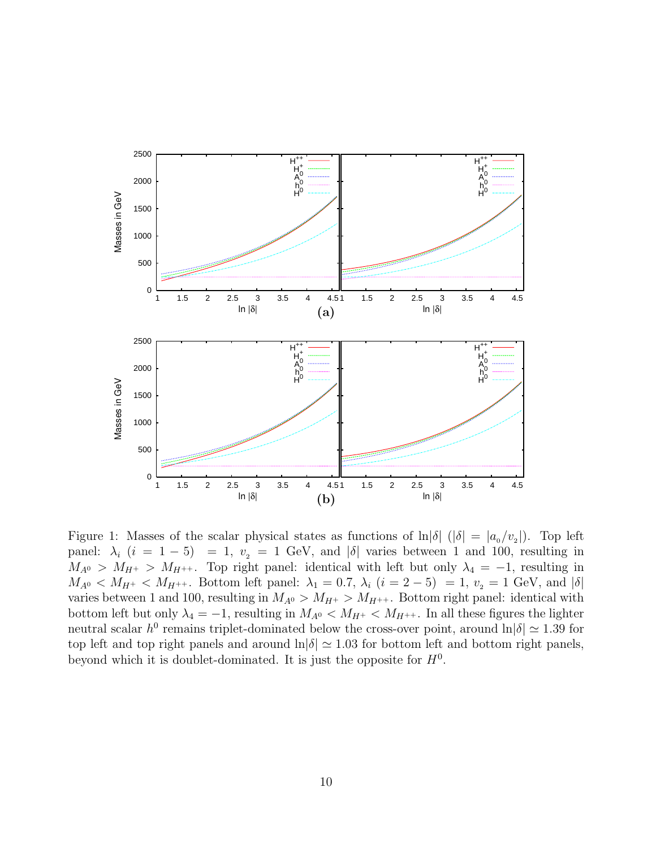

Figure 1: Masses of the scalar physical states as functions of  $\ln|\delta|$  ( $|\delta| = |a_{0}/v_{2}|$ ). Top left panel:  $\lambda_i$   $(i = 1 - 5) = 1$ ,  $v_2 = 1$  GeV, and  $|\delta|$  varies between 1 and 100, resulting in  $M_{A^0} > M_{H^+} > M_{H^{++}}$ . Top right panel: identical with left but only  $\lambda_4 = -1$ , resulting in  $M_{A^0} < M_{H^+} < M_{H^{++}}$ . Bottom left panel:  $\lambda_1 = 0.7$ ,  $\lambda_i$   $(i = 2 - 5) = 1$ ,  $v_2 = 1$  GeV, and  $|\delta|$ varies between 1 and 100, resulting in  $M_{A^0} > M_{H^+} > M_{H^{++}}$ . Bottom right panel: identical with bottom left but only  $\lambda_4 = -1$ , resulting in  $M_{A^0} < M_{H^+} < M_{H^{++}}$ . In all these figures the lighter neutral scalar  $h^0$  remains triplet-dominated below the cross-over point, around  $\ln|\delta| \simeq 1.39$  for top left and top right panels and around  $\ln|\delta| \simeq 1.03$  for bottom left and bottom right panels, beyond which it is doublet-dominated. It is just the opposite for  $H<sup>0</sup>$ .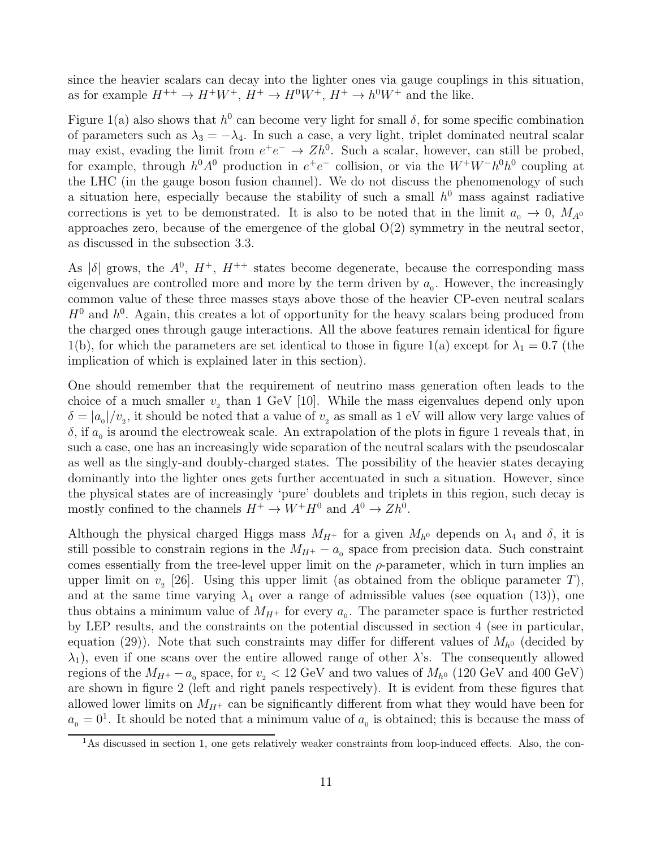since the heavier scalars can decay into the lighter ones via gauge couplings in this situation, as for example  $H^{++} \to H^+W^+$ ,  $H^+ \to H^0W^+$ ,  $H^+ \to h^0W^+$  and the like.

Figure 1(a) also shows that  $h^0$  can become very light for small  $\delta$ , for some specific combination of parameters such as  $\lambda_3 = -\lambda_4$ . In such a case, a very light, triplet dominated neutral scalar may exist, evading the limit from  $e^+e^- \to Zh^0$ . Such a scalar, however, can still be probed, for example, through  $h^0A^0$  production in  $e^+e^-$  collision, or via the  $W^+W^-h^0h^0$  coupling at the LHC (in the gauge boson fusion channel). We do not discuss the phenomenology of such a situation here, especially because the stability of such a small  $h^0$  mass against radiative corrections is yet to be demonstrated. It is also to be noted that in the limit  $a_0 \to 0$ ,  $M_{A^0}$ approaches zero, because of the emergence of the global  $O(2)$  symmetry in the neutral sector, as discussed in the subsection 3.3.

As  $|\delta|$  grows, the  $A^0$ ,  $H^+$ ,  $H^{++}$  states become degenerate, because the corresponding mass eigenvalues are controlled more and more by the term driven by  $a_0$ . However, the increasingly common value of these three masses stays above those of the heavier CP-even neutral scalars  $H^0$  and  $h^0$ . Again, this creates a lot of opportunity for the heavy scalars being produced from the charged ones through gauge interactions. All the above features remain identical for figure 1(b), for which the parameters are set identical to those in figure 1(a) except for  $\lambda_1 = 0.7$  (the implication of which is explained later in this section).

One should remember that the requirement of neutrino mass generation often leads to the choice of a much smaller  $v<sub>2</sub>$  than 1 GeV [10]. While the mass eigenvalues depend only upon  $\delta = |a_0|/v_2$ , it should be noted that a value of  $v_2$  as small as 1 eV will allow very large values of  $\delta$ , if  $a_0$  is around the electroweak scale. An extrapolation of the plots in figure 1 reveals that, in such a case, one has an increasingly wide separation of the neutral scalars with the pseudoscalar as well as the singly-and doubly-charged states. The possibility of the heavier states decaying dominantly into the lighter ones gets further accentuated in such a situation. However, since the physical states are of increasingly 'pure' doublets and triplets in this region, such decay is mostly confined to the channels  $H^+ \to W^+H^0$  and  $A^0 \to Zh^0$ .

Although the physical charged Higgs mass  $M_{H^+}$  for a given  $M_{h^0}$  depends on  $\lambda_4$  and  $\delta$ , it is still possible to constrain regions in the  $M_{H^+} - a_0$  space from precision data. Such constraint comes essentially from the tree-level upper limit on the  $\rho$ -parameter, which in turn implies an upper limit on  $v<sub>2</sub>$  [26]. Using this upper limit (as obtained from the oblique parameter T), and at the same time varying  $\lambda_4$  over a range of admissible values (see equation (13)), one thus obtains a minimum value of  $M_{H^+}$  for every  $a_0$ . The parameter space is further restricted by LEP results, and the constraints on the potential discussed in section 4 (see in particular, equation (29)). Note that such constraints may differ for different values of  $M_{h0}$  (decided by  $\lambda_1$ , even if one scans over the entire allowed range of other  $\lambda$ 's. The consequently allowed regions of the  $M_{H^{+}} - a_0$  space, for  $v_2 < 12$  GeV and two values of  $M_{h^0}$  (120 GeV and 400 GeV) are shown in figure 2 (left and right panels respectively). It is evident from these figures that allowed lower limits on  $M_{H^+}$  can be significantly different from what they would have been for  $a_0 = 0<sup>1</sup>$ . It should be noted that a minimum value of  $a_0$  is obtained; this is because the mass of

<sup>&</sup>lt;sup>1</sup>As discussed in section 1, one gets relatively weaker constraints from loop-induced effects. Also, the con-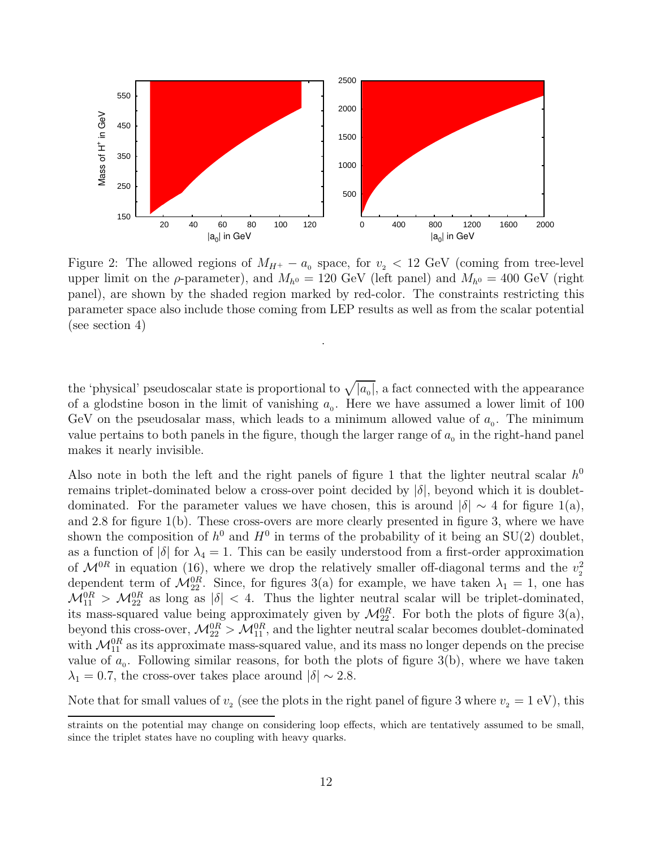

Figure 2: The allowed regions of  $M_{H^+} - a_0$  space, for  $v_2 < 12$  GeV (coming from tree-level upper limit on the  $\rho$ -parameter), and  $M_{h^0} = 120 \text{ GeV}$  (left panel) and  $M_{h^0} = 400 \text{ GeV}$  (right panel), are shown by the shaded region marked by red-color. The constraints restricting this parameter space also include those coming from LEP results as well as from the scalar potential (see section 4)

.

the 'physical' pseudoscalar state is proportional to  $\sqrt{|a_0|}$ , a fact connected with the appearance of a glodstine boson in the limit of vanishing  $a_0$ . Here we have assumed a lower limit of 100 GeV on the pseudosalar mass, which leads to a minimum allowed value of  $a_0$ . The minimum value pertains to both panels in the figure, though the larger range of  $a_0$  in the right-hand panel makes it nearly invisible.

Also note in both the left and the right panels of figure 1 that the lighter neutral scalar  $h^0$ remains triplet-dominated below a cross-over point decided by  $|\delta|$ , beyond which it is doubletdominated. For the parameter values we have chosen, this is around  $|\delta| \sim 4$  for figure 1(a), and 2.8 for figure 1(b). These cross-overs are more clearly presented in figure 3, where we have shown the composition of  $h^0$  and  $H^0$  in terms of the probability of it being an SU(2) doublet, as a function of  $|\delta|$  for  $\lambda_4 = 1$ . This can be easily understood from a first-order approximation of  $\mathcal{M}^{0R}$  in equation (16), where we drop the relatively smaller off-diagonal terms and the  $v_2^2$ 2 dependent term of  $\mathcal{M}_{22}^{0R}$ . Since, for figures 3(a) for example, we have taken  $\lambda_1 = 1$ , one has  $\mathcal{M}_{11}^{0R} > \mathcal{M}_{22}^{0R}$  as long as  $|\delta| < 4$ . Thus the lighter neutral scalar will be triplet-dominated, its mass-squared value being approximately given by  $\mathcal{M}_{22}^{0R}$ . For both the plots of figure 3(a), beyond this cross-over,  $\mathcal{M}_{22}^{0R} > \mathcal{M}_{11}^{0R}$ , and the lighter neutral scalar becomes doublet-dominated with  $\mathcal{M}_{11}^{0R}$  as its approximate mass-squared value, and its mass no longer depends on the precise value of  $a_0$ . Following similar reasons, for both the plots of figure 3(b), where we have taken  $\lambda_1 = 0.7$ , the cross-over takes place around  $|\delta| \sim 2.8$ .

Note that for small values of  $v<sub>2</sub>$  (see the plots in the right panel of figure 3 where  $v<sub>2</sub> = 1$  eV), this

straints on the potential may change on considering loop effects, which are tentatively assumed to be small, since the triplet states have no coupling with heavy quarks.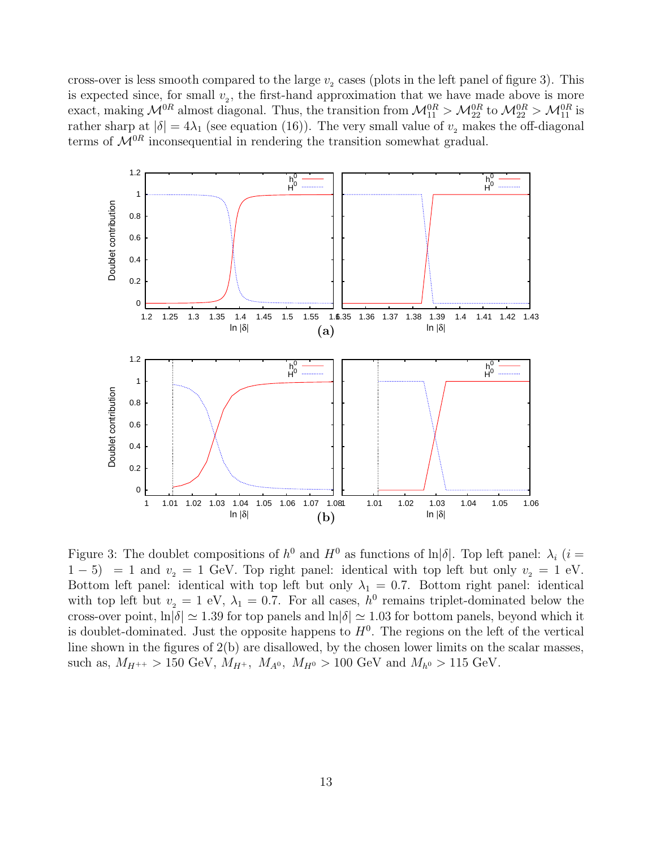cross-over is less smooth compared to the large  $v<sub>2</sub>$  cases (plots in the left panel of figure 3). This is expected since, for small  $v_2$ , the first-hand approximation that we have made above is more exact, making  $\mathcal{M}_{1}^{0R}$  almost diagonal. Thus, the transition from  $\mathcal{M}_{11}^{0R} > \mathcal{M}_{22}^{0R}$  to  $\mathcal{M}_{22}^{0R} > \mathcal{M}_{11}^{0R}$  is rather sharp at  $|\delta| = 4\lambda_1$  (see equation (16)). The very small value of  $v_2$  makes the off-diagonal terms of  $\mathcal{M}^{0R}$  inconsequential in rendering the transition somewhat gradual.



Figure 3: The doublet compositions of  $h^0$  and  $H^0$  as functions of  $\ln|\delta|$ . Top left panel:  $\lambda_i$  (i =  $1-5$  = 1 and  $v_2 = 1$  GeV. Top right panel: identical with top left but only  $v_2 = 1$  eV. Bottom left panel: identical with top left but only  $\lambda_1 = 0.7$ . Bottom right panel: identical with top left but  $v_2 = 1$  eV,  $\lambda_1 = 0.7$ . For all cases,  $h^0$  remains triplet-dominated below the cross-over point,  $\ln|\delta| \simeq 1.39$  for top panels and  $\ln|\delta| \simeq 1.03$  for bottom panels, beyond which it is doublet-dominated. Just the opposite happens to  $H^0$ . The regions on the left of the vertical line shown in the figures of 2(b) are disallowed, by the chosen lower limits on the scalar masses, such as,  $M_{H^{++}} > 150 \text{ GeV}$ ,  $M_{H^{+}}$ ,  $M_{A^0}$ ,  $M_{H^0} > 100 \text{ GeV}$  and  $M_{h^0} > 115 \text{ GeV}$ .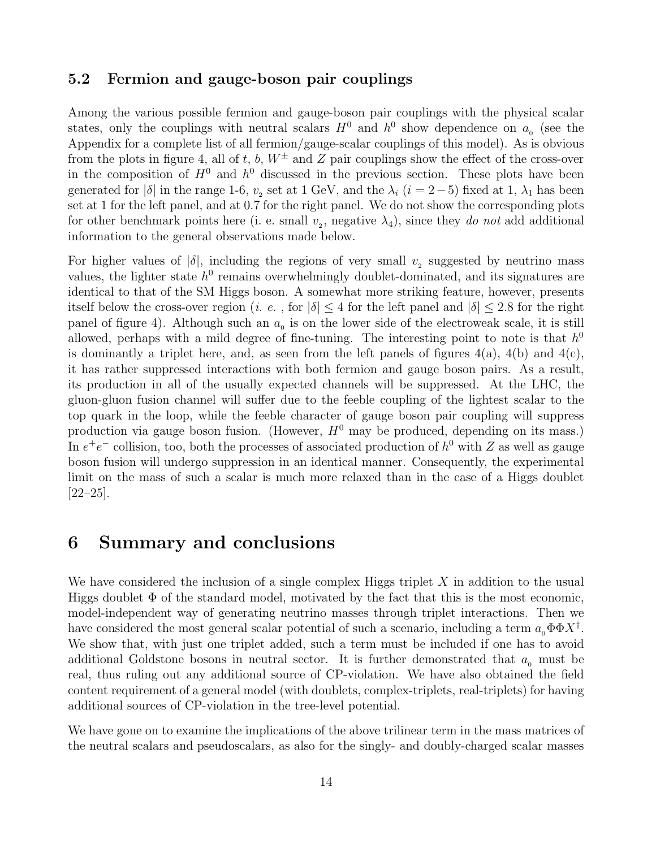### 5.2 Fermion and gauge-boson pair couplings

Among the various possible fermion and gauge-boson pair couplings with the physical scalar states, only the couplings with neutral scalars  $H^0$  and  $h^0$  show dependence on  $a_0$  (see the Appendix for a complete list of all fermion/gauge-scalar couplings of this model). As is obvious from the plots in figure 4, all of t, b,  $W^{\pm}$  and Z pair couplings show the effect of the cross-over in the composition of  $H^0$  and  $h^0$  discussed in the previous section. These plots have been generated for  $|\delta|$  in the range 1-6,  $v_2$  set at 1 GeV, and the  $\lambda_i$  ( $i = 2-5$ ) fixed at 1,  $\lambda_1$  has been set at 1 for the left panel, and at 0.7 for the right panel. We do not show the corresponding plots for other benchmark points here (i. e. small  $v_2$ , negative  $\lambda_4$ ), since they do not add additional information to the general observations made below.

For higher values of  $|\delta|$ , including the regions of very small  $v_2$  suggested by neutrino mass values, the lighter state  $h^0$  remains overwhelmingly doublet-dominated, and its signatures are identical to that of the SM Higgs boson. A somewhat more striking feature, however, presents itself below the cross-over region (*i. e.*, for  $|\delta| \leq 4$  for the left panel and  $|\delta| \leq 2.8$  for the right panel of figure 4). Although such an  $a_0$  is on the lower side of the electroweak scale, it is still allowed, perhaps with a mild degree of fine-tuning. The interesting point to note is that  $h^0$ is dominantly a triplet here, and, as seen from the left panels of figures  $4(a)$ ,  $4(b)$  and  $4(c)$ , it has rather suppressed interactions with both fermion and gauge boson pairs. As a result, its production in all of the usually expected channels will be suppressed. At the LHC, the gluon-gluon fusion channel will suffer due to the feeble coupling of the lightest scalar to the top quark in the loop, while the feeble character of gauge boson pair coupling will suppress production via gauge boson fusion. (However,  $H^0$  may be produced, depending on its mass.) In  $e^+e^-$  collision, too, both the processes of associated production of  $h^0$  with Z as well as gauge boson fusion will undergo suppression in an identical manner. Consequently, the experimental limit on the mass of such a scalar is much more relaxed than in the case of a Higgs doublet [22–25].

### 6 Summary and conclusions

We have considered the inclusion of a single complex Higgs triplet  $X$  in addition to the usual Higgs doublet  $\Phi$  of the standard model, motivated by the fact that this is the most economic, model-independent way of generating neutrino masses through triplet interactions. Then we have considered the most general scalar potential of such a scenario, including a term  $a_0 \Phi \Phi X^{\dagger}$ . We show that, with just one triplet added, such a term must be included if one has to avoid additional Goldstone bosons in neutral sector. It is further demonstrated that  $a_0$  must be real, thus ruling out any additional source of CP-violation. We have also obtained the field content requirement of a general model (with doublets, complex-triplets, real-triplets) for having additional sources of CP-violation in the tree-level potential.

We have gone on to examine the implications of the above trilinear term in the mass matrices of the neutral scalars and pseudoscalars, as also for the singly- and doubly-charged scalar masses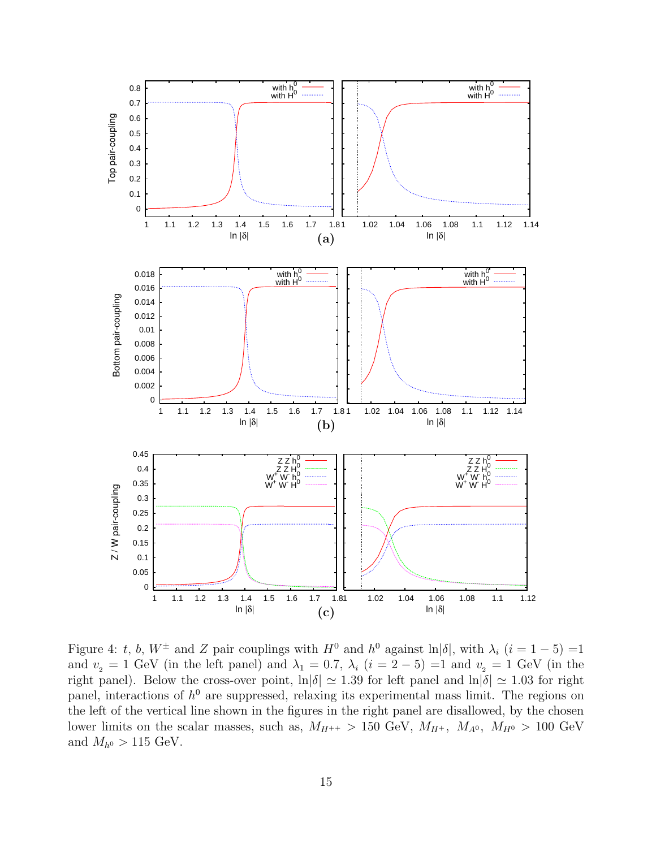

Figure 4: t, b,  $W^{\pm}$  and Z pair couplings with  $H^0$  and  $h^0$  against  $\ln|\delta|$ , with  $\lambda_i$   $(i = 1 - 5) = 1$ and  $v_2 = 1$  GeV (in the left panel) and  $\lambda_1 = 0.7$ ,  $\lambda_i$  ( $i = 2 - 5$ ) = 1 and  $v_2 = 1$  GeV (in the right panel). Below the cross-over point,  $\ln|\delta| \simeq 1.39$  for left panel and  $\ln|\delta| \simeq 1.03$  for right panel, interactions of  $h^0$  are suppressed, relaxing its experimental mass limit. The regions on the left of the vertical line shown in the figures in the right panel are disallowed, by the chosen lower limits on the scalar masses, such as,  $M_{H^{++}} > 150$  GeV,  $M_{H^+}$ ,  $M_{A^0}$ ,  $M_{H^0} > 100$  GeV and  $M_{h^0} > 115$  GeV.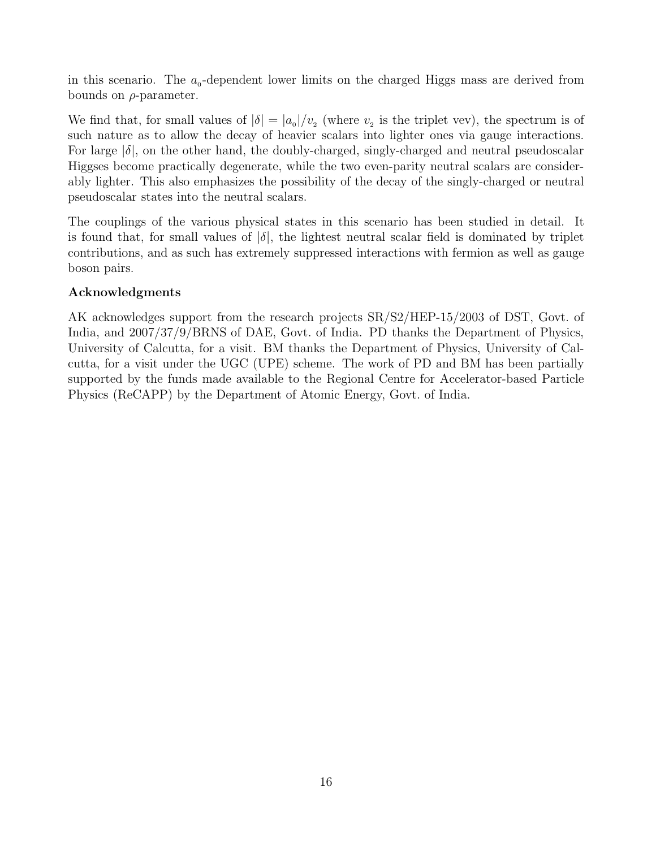in this scenario. The  $a_0$ -dependent lower limits on the charged Higgs mass are derived from bounds on  $\rho$ -parameter.

We find that, for small values of  $|\delta| = |a_0|/v_2$  (where  $v_2$  is the triplet vev), the spectrum is of such nature as to allow the decay of heavier scalars into lighter ones via gauge interactions. For large  $|\delta|$ , on the other hand, the doubly-charged, singly-charged and neutral pseudoscalar Higgses become practically degenerate, while the two even-parity neutral scalars are considerably lighter. This also emphasizes the possibility of the decay of the singly-charged or neutral pseudoscalar states into the neutral scalars.

The couplings of the various physical states in this scenario has been studied in detail. It is found that, for small values of  $|\delta|$ , the lightest neutral scalar field is dominated by triplet contributions, and as such has extremely suppressed interactions with fermion as well as gauge boson pairs.

### Acknowledgments

AK acknowledges support from the research projects SR/S2/HEP-15/2003 of DST, Govt. of India, and 2007/37/9/BRNS of DAE, Govt. of India. PD thanks the Department of Physics, University of Calcutta, for a visit. BM thanks the Department of Physics, University of Calcutta, for a visit under the UGC (UPE) scheme. The work of PD and BM has been partially supported by the funds made available to the Regional Centre for Accelerator-based Particle Physics (ReCAPP) by the Department of Atomic Energy, Govt. of India.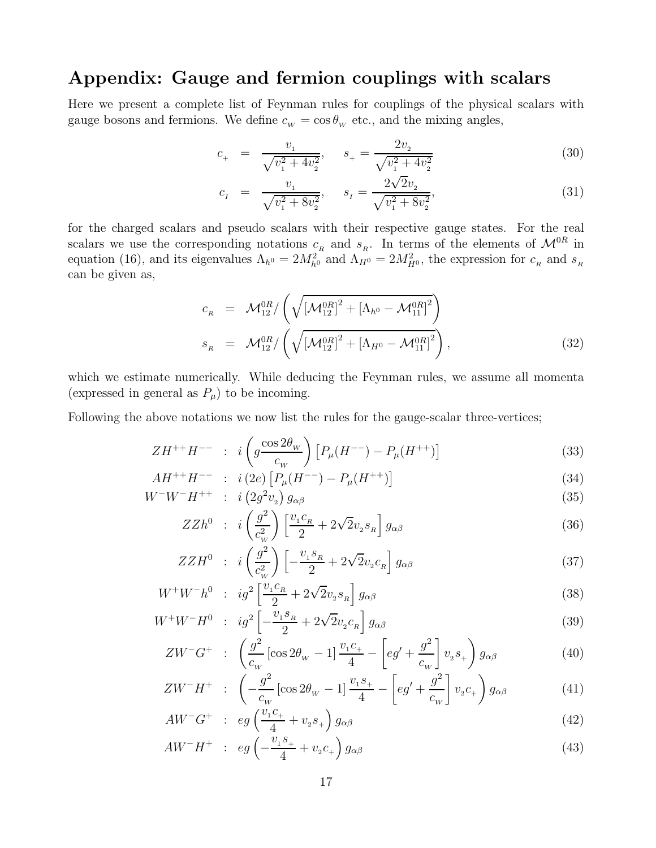## Appendix: Gauge and fermion couplings with scalars

Here we present a complete list of Feynman rules for couplings of the physical scalars with gauge bosons and fermions. We define  $c_w = \cos \theta_w$  etc., and the mixing angles,

$$
c_{+} = \frac{v_1}{\sqrt{v_1^2 + 4v_2^2}}, \quad s_{+} = \frac{2v_2}{\sqrt{v_1^2 + 4v_2^2}}
$$
(30)

$$
c_{I} = \frac{v_{1}}{\sqrt{v_{1}^{2} + 8v_{2}^{2}}}, \quad s_{I} = \frac{2\sqrt{2}v_{2}}{\sqrt{v_{1}^{2} + 8v_{2}^{2}}},
$$
(31)

for the charged scalars and pseudo scalars with their respective gauge states. For the real scalars we use the corresponding notations  $c_R$  and  $s_R$ . In terms of the elements of  $\mathcal{M}^{0R}$  in equation (16), and its eigenvalues  $\Lambda_{h^0} = 2M_{h^0}^2$  and  $\Lambda_{H^0} = 2M_{H^0}^2$ , the expression for  $c_R$  and  $s_R$ can be given as,

$$
c_R = \mathcal{M}_{12}^{0R} / \left( \sqrt{\left[ \mathcal{M}_{12}^{0R} \right]^2 + \left[ \Lambda_{h^0} - \mathcal{M}_{11}^{0R} \right]^2} \right)
$$
  
\n
$$
s_R = \mathcal{M}_{12}^{0R} / \left( \sqrt{\left[ \mathcal{M}_{12}^{0R} \right]^2 + \left[ \Lambda_{H^0} - \mathcal{M}_{11}^{0R} \right]^2} \right),
$$
\n(32)

which we estimate numerically. While deducing the Feynman rules, we assume all momenta (expressed in general as  $P_{\mu}$ ) to be incoming.

Following the above notations we now list the rules for the gauge-scalar three-vertices;

$$
ZH^{++}H^{--} \; : \; i \left( g \frac{\cos 2\theta_w}{c_w} \right) \left[ P_\mu(H^{--}) - P_\mu(H^{++}) \right] \tag{33}
$$

$$
AH^{++}H^{--} \; : \; i(2e) \left[ P_{\mu}(H^{--}) - P_{\mu}(H^{++}) \right] \tag{34}
$$
\n
$$
W^{-}W^{-}H^{++} \; : \; i(2e^2 \omega) \in (25)
$$

$$
W^-W^-H^{++} \quad : \quad i\left(2g^2v_2\right)g_{\alpha\beta} \tag{35}
$$

$$
ZZh^{0} \quad : \quad i\left(\frac{g^{2}}{c_{W}^{2}}\right)\left[\frac{v_{1}c_{R}}{2} + 2\sqrt{2}v_{2}s_{R}\right]g_{\alpha\beta} \tag{36}
$$

$$
ZZH^{0} : i\left(\frac{g^{2}}{c_{W}^{2}}\right)\left[-\frac{v_{1}s_{R}}{2} + 2\sqrt{2}v_{2}c_{R}\right]g_{\alpha\beta} \tag{37}
$$

$$
W^{+}W^{-}h^{0} \; : \; ig^{2}\left[\frac{v_{1}c_{R}}{2} + 2\sqrt{2}v_{2}s_{R}\right]g_{\alpha\beta} \tag{38}
$$

$$
W^{+}W^{-}H^{0} \; : \; ig^{2}\left[-\frac{v_{1}s_{R}}{2} + 2\sqrt{2}v_{2}c_{R}\right]g_{\alpha\beta} \tag{39}
$$

$$
ZW^{-}G^{+} \; : \; \left(\frac{g^{2}}{c_{w}}\left[\cos 2\theta_{w} - 1\right]\frac{v_{1}c_{+}}{4} - \left[eg' + \frac{g^{2}}{c_{w}}\right]v_{2}s_{+}\right)g_{\alpha\beta} \tag{40}
$$

$$
ZW^{-}H^{+} \; : \; \left(-\frac{g^{2}}{c_{W}}\left[\cos 2\theta_{W} - 1\right]\frac{v_{1}s_{+}}{4} - \left[eg' + \frac{g^{2}}{c_{W}}\right]v_{2}c_{+}\right)g_{\alpha\beta} \tag{41}
$$

$$
AW^{-}G^{+} \quad : \quad eg\left(\frac{v_{1}c_{+}}{4} + v_{2}s_{+}\right)g_{\alpha\beta} \tag{42}
$$

$$
AW^-H^+ \quad : \quad eg\left(-\frac{v_1s_+}{4} + v_2c_+\right)g_{\alpha\beta} \tag{43}
$$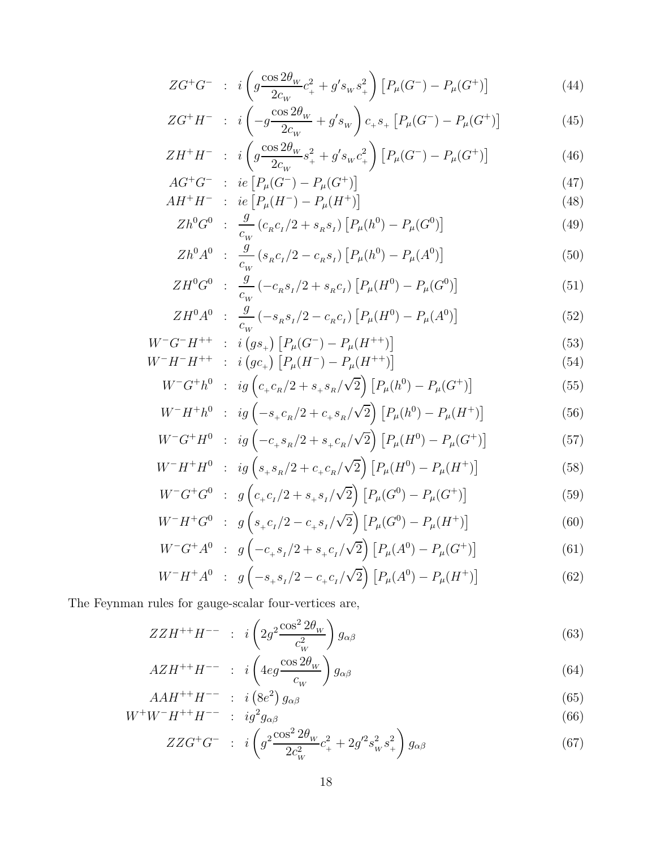$$
ZG^{+}G^{-} \; : \; i \left( g \frac{\cos 2\theta_{w}}{2c_{w}} c_{+}^{2} + g's_{w} s_{+}^{2} \right) \left[ P_{\mu}(G^{-}) - P_{\mu}(G^{+}) \right] \tag{44}
$$

$$
ZG^{+}H^{-} \; : \; i\left(-g\frac{\cos 2\theta_{w}}{2c_{w}}+g's_{w}\right)c_{+}s_{+}\left[P_{\mu}(G^{-})-P_{\mu}(G^{+})\right] \tag{45}
$$

$$
ZH^{+}H^{-} \; : \; i \left( g \frac{\cos 2\theta_{w}}{2c_{w}} s_{+}^{2} + g's_{w} c_{+}^{2} \right) \left[ P_{\mu}(G^{-}) - P_{\mu}(G^{+}) \right] \tag{46}
$$

$$
AG^{+}G^{-} \; : \; ie\left[P_{\mu}(G^{-}) - P_{\mu}(G^{+})\right] \tag{47}
$$
\n
$$
AH^{+}H^{-} \; : \; [D_{\mu}(H^{-}) - D_{\mu}(H^{+})] \tag{48}
$$

$$
AH^{+}H^{-} \; : \; ie\left[P_{\mu}(H^{-}) - P_{\mu}(H^{+})\right]
$$
\n
$$
{}^{710}C^{0} \qquad {}^{g} \qquad {}^{/2}C^{0} \qquad {}^{/2}C^{0} \qquad {}^{/2}C^{0} \qquad {}^{/2}C^{0} \qquad {}^{/2}C^{0} \qquad {}^{/2}C^{0} \qquad {}^{/2}C^{0} \qquad {}^{/2}C^{0} \qquad {}^{/2}C^{0} \qquad {}^{/2}C^{0} \qquad {}^{/2}C^{0} \qquad {}^{/2}C^{0} \qquad {}^{/2}C^{0} \qquad {}^{/2}C^{0} \qquad {}^{/2}C^{0} \qquad {}^{/2}C^{0} \qquad {}^{/2}C^{0} \qquad {}^{/2}C^{0} \qquad {}^{/2}C^{0} \qquad {}^{/2}C^{0} \qquad {}^{/2}C^{0} \qquad {}^{/2}C^{0} \qquad {}^{/2}C^{0} \qquad {}^{/2}C^{0} \qquad {}^{/2}C^{0} \qquad {}^{/2}C^{0} \qquad {}^{/2}C^{0} \qquad {}^{/2}C^{0} \qquad {}^{/2}C^{0} \qquad {}^{/2}C^{0} \qquad {}^{/2}C^{0} \qquad {}^{/2}C^{0} \qquad {}^{/2}C^{0} \qquad {}^{/2}C^{0} \qquad {}^{/2}C^{0} \qquad {}^{/2}C^{0} \qquad {}^{/2}C^{0} \qquad {}^{/2}C^{0} \qquad {}^{/2}C^{0} \qquad {}^{/2}C^{0} \qquad {}^{/2}C^{0} \qquad {}^{/2}C^{0} \qquad {}^{/2}C^{0} \qquad {}^{/2}C^{0} \qquad {}^{/2}C^{0} \qquad {}^{/2}C^{0} \qquad {}^{/2}C^{0} \qquad {}^{/2}C^{0} \qquad {}^{/2}C^{0} \qquad {}^{/2}C^{0} \qquad {}^{/2}C^{0} \qquad {}^{/2}C^{0} \qquad {}^{/2}C^{0} \qquad {}^{/2}C^{0} \qquad {}^{/2}C^{0} \qquad {}^{/2}C^{0} \qquad {}^{/2}C^{0} \qquad {}^{/2}C^{0} \
$$

$$
Zh^{0}G^{0} \; : \; \frac{g}{c_{W}}(c_{R}c_{I}/2 + s_{R}s_{I})\left[P_{\mu}(h^{0}) - P_{\mu}(G^{0})\right]
$$
\n
$$
\tag{49}
$$

$$
Zh^{0} A^{0} : \frac{g}{c_{w}} (s_{R} c_{I}/2 - c_{R} s_{I}) [P_{\mu}(h^{0}) - P_{\mu}(A^{0})]
$$
\n(50)

$$
ZH^{0}G^{0} \; : \; \frac{g}{c_{W}}\left(-c_{R}s_{I}/2+s_{R}c_{I}\right)\left[P_{\mu}(H^{0})-P_{\mu}(G^{0})\right] \tag{51}
$$

$$
ZH^{0}A^{0} \; : \; \frac{g}{c_{w}} \left( -s_{R}s_{I}/2 - c_{R}c_{I} \right) \left[ P_{\mu}(H^{0}) - P_{\mu}(A^{0}) \right] \tag{52}
$$

$$
W^{-}G^{-}H^{++} : i(gs_{+}) [P_{\mu}(G^{-}) - P_{\mu}(H^{++})]
$$
\n
$$
W^{-}H^{-}H^{++} : i(gc_{+}) [P_{\mu}(H^{-}) - P_{\mu}(H^{++})]
$$
\n(53)

$$
V^-H^-H^{++} : i(gc_+) [P_\mu(H^-) - P_\mu(H^{++})]
$$
\n(54)

$$
W^{-}G^{+}h^{0} \; : \; ig \left( c_{+} c_{R} / 2 + s_{+} s_{R} / \sqrt{2} \right) \left[ P_{\mu}(h^{0}) - P_{\mu}(G^{+}) \right] \tag{55}
$$

$$
W^{-}H^{+}h^{0} \; : \; ig \left( -s_{+}c_{R}/2 + c_{+}s_{R}/\sqrt{2} \right) \left[ P_{\mu}(h^{0}) - P_{\mu}(H^{+}) \right] \tag{56}
$$

$$
W^{-}G^{+}H^{0} \; : \; ig \left(-c_{+} s_{R}/2 + s_{+} c_{R}/\sqrt{2}\right) \left[P_{\mu}(H^{0}) - P_{\mu}(G^{+})\right] \tag{57}
$$

$$
W^{-}H^{+}H^{0} \; : \; ig \left( s_{+} s_{R} / 2 + c_{+} c_{R} / \sqrt{2} \right) \left[ P_{\mu}(H^{0}) - P_{\mu}(H^{+}) \right] \tag{58}
$$

$$
W^{-}G^{+}G^{0} \; : \; g\left(c_{+}c_{I}/2 + s_{+}s_{I}/\sqrt{2}\right)\left[P_{\mu}(G^{0}) - P_{\mu}(G^{+})\right] \tag{59}
$$

$$
W^-H^+G^0 \; : \; g\left(s_+c_+/2-c_+s_+/ \sqrt{2}\right) \left[P_\mu(G^0) - P_\mu(H^+)\right] \tag{60}
$$

$$
W^{-}G^{+}A^{0} \; : \; g\left(-c_{+}s_{I}/2 + s_{+}c_{I}/\sqrt{2}\right)\left[P_{\mu}(A^{0}) - P_{\mu}(G^{+})\right] \tag{61}
$$

$$
W^-H^+A^0 \; : \; g\left(-s_+s_1/2 - c_+c_1/\sqrt{2}\right) \left[P_\mu(A^0) - P_\mu(H^+)\right] \tag{62}
$$

The Feynman rules for gauge-scalar four-vertices are,

$$
ZZH^{++}H^{--} \; : \; i \left(2g^2 \frac{\cos^2 2\theta_W}{c_W^2}\right) g_{\alpha\beta} \tag{63}
$$

$$
AZH^{++}H^{--} : i\left(4eg\frac{\cos 2\theta_{w}}{c_{w}}\right)g_{\alpha\beta} \tag{64}
$$

$$
AAH^{++}H^{--} \quad : \quad i\left(8e^2\right)g_{\alpha\beta} \tag{65}
$$

$$
W^{+}W^{-}H^{++}H^{--} \; : \; ig^{2}g_{\alpha\beta} \tag{66}
$$

$$
ZZG^{+}G^{-} \; : \; i \left( g^{2} \frac{\cos^{2} 2\theta_{w}}{2c_{w}^{2}} c_{+}^{2} + 2g^{\prime 2} s_{w}^{2} s_{+}^{2} \right) g_{\alpha\beta} \tag{67}
$$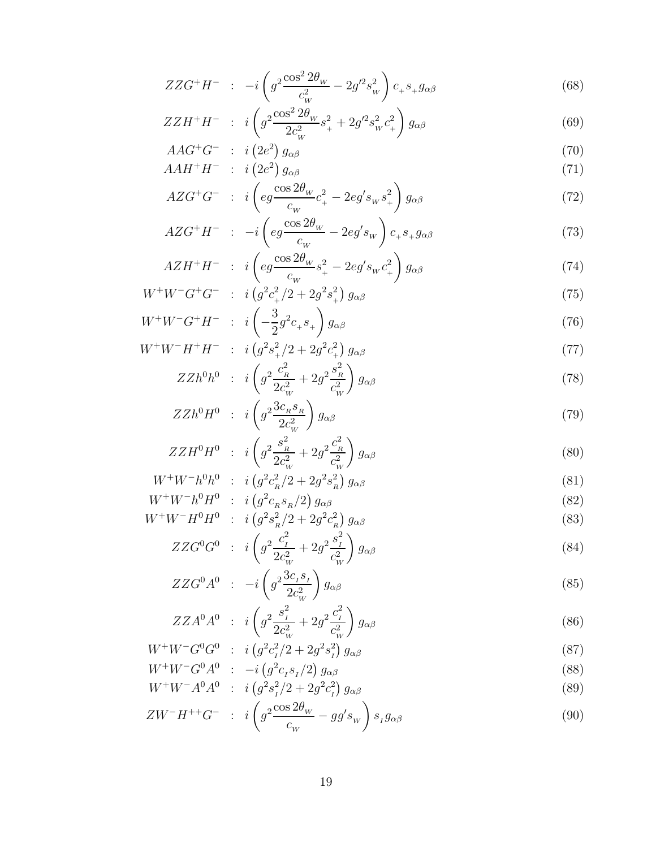$$
ZW^-H^{++}G^- \; : \; i\left(g^2 \frac{\cos 2\theta_w}{c_w} - gg's_w\right)s_{I}g_{\alpha\beta} \tag{90}
$$

$$
W W G A : -i (g c_1 s_1 / 2) g_{\alpha\beta}
$$
  
\n
$$
W^+ W^- A^0 A^0 : i (g^2 s_1^2 / 2 + 2g^2 c_1^2) g_{\alpha\beta}
$$
 (89)

$$
W^{+}W^{-}G^{0}A^{0} \; : \; -i\left(g^{2}c_{I}s_{I}/2\right)g_{\alpha\beta} \tag{88}
$$

$$
W^{+}W^{-}G^{0}G^{0} \; : \; i\left(g^{2}c_{I}^{2}/2+2g^{2}s_{I}^{2}\right)g_{\alpha\beta} \tag{87}
$$

$$
ZZA^{0}A^{0} \; : \; i \left( g^{2} \frac{s_{I}}{2c_{W}^{2}} + 2g^{2} \frac{c_{I}}{c_{W}^{2}} \right) g_{\alpha\beta} \tag{86}
$$
\n
$$
K^{+}W^{-}C^{0}C^{0} \qquad (2.2/2) \to 2^{2} \stackrel{2}{\longrightarrow} \tag{87}
$$

$$
ZZA^{0}A^{0} : i \left( g^{2} \frac{s_{1}^{2}}{a^{2}} + 2g^{2} \frac{c_{1}^{2}}{a^{2}} \right) g_{\alpha\beta}
$$
\n(86)

$$
ZZG^{0}A^{0} : -i\left(g^{2}\frac{3c_{1}s_{1}}{2c_{1}^{2}}\right)g_{\alpha\beta}
$$
\n(85)

$$
V H^* H^* : i \left( g^* s_R^2 / 2 + 2g^* c_R^2 \right) g_{\alpha\beta} \tag{83}
$$
  

$$
ZZG^0 G^0 : i \left( g^2 \frac{c_1^2}{2c^2} + 2g^2 \frac{s_1^2}{c^2} \right) g_{\alpha\beta} \tag{84}
$$

$$
W^{+}W^{-}h^{0}H^{0} \; : \; i\left(g^{2}c_{R}s_{R}/2\right)g_{\alpha\beta} \tag{82}
$$
\n
$$
W^{+}W^{-}H^{0}H^{0} \; : \; i\left(g^{2}s_{R}^{2}/2+2g^{2}c_{R}^{2}\right)g_{\alpha\beta} \tag{83}
$$

$$
W^{+}W^{-}h^{0}H^{0} \; : \; i\left(g^{2}c_{R}s_{R}/2\right)g_{\alpha\beta} \tag{82}
$$

$$
W^{+}W^{-}h^{0}h^{0} : i \left(g^{2}c_{R}^{2}/2+2g^{2}s_{R}^{2}\right)g_{\alpha\beta} \tag{81}
$$

$$
ZZH^{0}H^{0} \; : \; i \left( g^{2} \frac{s_{R}^{2}}{2c_{W}^{2}} + 2g^{2} \frac{c_{R}^{2}}{c_{W}^{2}} \right) g_{\alpha\beta} \tag{80}
$$

$$
ZZh^{0}H^{0} \; : \; i\left(g^{2}\frac{3c_{R}s_{R}}{2c_{W}^{2}}\right)g_{\alpha\beta} \tag{79}
$$

$$
ZZh^{0}h^{0} : i\left(g^{2}\frac{c_{R}^{2}}{2c_{W}^{2}}+2g^{2}\frac{s_{R}^{2}}{c_{W}^{2}}\right)g_{\alpha\beta} \tag{78}
$$

$$
+W^-H^+H^- \; : \; i\left(g^2s_+^2/2+2g^2c_+^2\right)g_{\alpha\beta} \tag{77}
$$

$$
W + W - H^+H^- : i \left(g^2 s_+^2 / 2 + 2g^2 c_+^2\right) g_{\alpha\beta} \tag{77}
$$

$$
W^{+}W^{-}G^{+}H^{-} \; : \; i\left(-\frac{3}{2}g^{2}c_{+}s_{+}\right)g_{\alpha\beta} \tag{76}
$$

$$
W^{+}W^{-}G^{+}G^{-} \; : \; i\left(g^{2}c_{+}^{2}/2+2g^{2}s_{+}^{2}\right)g_{\alpha\beta} \tag{75}
$$

$$
AZH^{+}H^{-} \; : \; i\left( eg \frac{\cos 2\theta_{w}}{c_{w}} s_{+}^{2} - 2eg's_{w} c_{+}^{2} \right) g_{\alpha\beta} \tag{74}
$$

$$
AZH^{+}H^{-} \; : \; i \left( eg \frac{\cos 2\theta_{w}}{2} s_{+}^{2} - 2eg's_{w} c_{+}^{2} \right) g_{\alpha\beta} \tag{74}
$$

$$
AZG^{+}H^{-} \quad : \quad -i\left(eg\frac{\cos 2\theta_{w}}{c_{w}} - 2eg's_{w}\right)c_{+}s_{+}g_{\alpha\beta} \tag{73}
$$

$$
AZG^{+}H^{-} \; : \; -i\left(eg\frac{\cos 2\theta_{w}}{c} - 2eg's_{w}\right)c_{+}s_{+}g_{\alpha\beta} \tag{73}
$$

$$
AZG^{+}G^{-} \; : \; i\left(eg\frac{\cos 2\theta_{w}}{c_{w}}c_{+}^{2} - 2eg's_{w}s_{+}^{2}\right)g_{\alpha\beta} \tag{72}
$$

$$
AAH^{+}H^{-} \; : \; i\left(2e^{2}\right)g_{\alpha\beta} \tag{71}
$$

$$
AAH^{+}H^{-} \; : \; i\left(2e^{2}\right)g_{\alpha\beta} \tag{71}
$$

$$
AAG^+G^- \quad : \quad i\left(2e^2\right)g_{\alpha\beta} \tag{70}
$$

$$
ZZH^{+}H^{-} \; : \; i \left( g^{2} \frac{\cos^{2} 2\theta_{W}}{2c_{W}^{2}} s_{+}^{2} + 2g^{\prime 2} s_{W}^{2} c_{+}^{2} \right) g_{\alpha\beta} \tag{69}
$$

$$
ZZG^{+}H^{-} \; : \; -i\left(g^{2}\frac{\cos^{2}2\theta_{W}}{c_{W}^{2}} - 2g'^{2}s_{W}^{2}\right)c_{+}s_{+}g_{\alpha\beta} \tag{68}
$$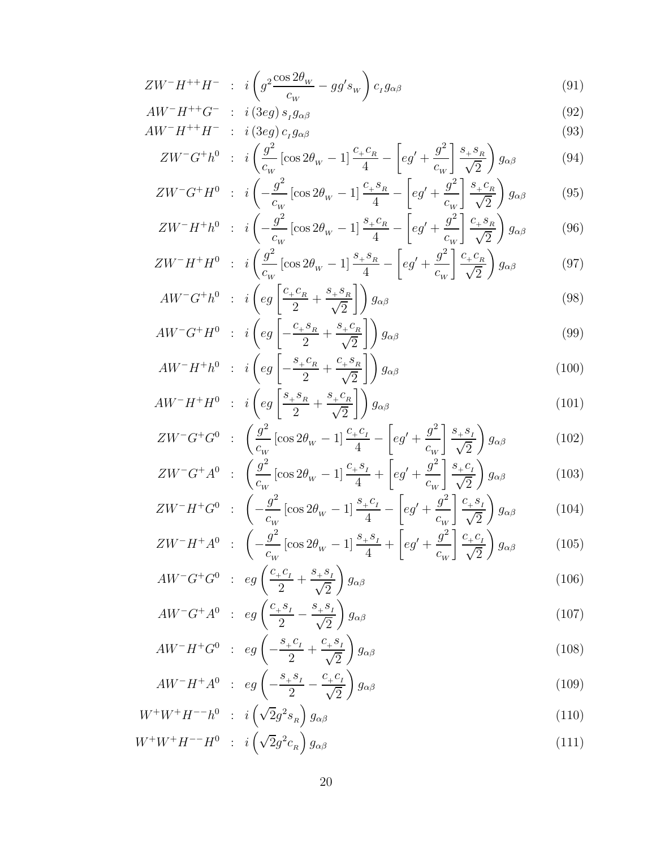$$
W^+W^+H^{-}-H^0 \quad : \quad i\left(\sqrt{2}g^2c_R\right)g_{\alpha\beta} \tag{111}
$$

$$
W^+W^+H^{-1}h^0 \quad : \quad i\left(\sqrt{2}g^2s_R\right)g_{\alpha\beta} \tag{110}
$$

$$
AW^-H^+A^0 \quad : \quad eg\left(-\frac{s_+s_1}{2} - \frac{c_+c_1}{\sqrt{2}}\right)g_{\alpha\beta} \tag{109}
$$

$$
AW^-H^+G^0 \quad : \quad eg\left(-\frac{s_+c_1}{2} + \frac{c_+s_1}{\sqrt{2}}\right)g_{\alpha\beta} \tag{108}
$$

$$
AW^{-}G^{+}A^{0} \quad : \quad eg\left(\frac{c_{+}s_{I}}{2} - \frac{s_{+}s_{I}}{\sqrt{2}}\right)g_{\alpha\beta} \tag{107}
$$

$$
AW^{-}G^{+}G^{0} \; : \; eg\left(\frac{c_{+}c_{I}}{2} + \frac{s_{+}s_{I}}{\sqrt{2}}\right)g_{\alpha\beta} \tag{106}
$$

$$
ZW^-H^+A^0 \quad : \quad \left(-\frac{g^2}{c_w} \left[\cos 2\theta_w - 1\right] \frac{4}{4} - \left[e^g + \frac{g^2}{c_w}\right] \frac{g_{\alpha\beta}}{\sqrt{2}}\right) g_{\alpha\beta} \tag{104}
$$
\n
$$
ZW^-H^+A^0 \quad : \quad \left(-\frac{g^2}{c_w} \left[\cos 2\theta_w - 1\right] \frac{s_+s_+}{4} + \left[e^g + \frac{g^2}{c_w}\right] \frac{c_+c_+}{\sqrt{2}}\right) g_{\alpha\beta} \tag{105}
$$

$$
ZW^{-}H^{+}G^{0} \; : \; \left(-\frac{g^{2}}{c_{w}}\left[\cos 2\theta_{w} - 1\right]\frac{s_{+}c_{I}}{4} - \left[eg^{2} + \frac{g^{2}}{c_{w}}\right]\frac{c_{+}s_{I}}{\sqrt{2}}\right)g_{\alpha\beta} \tag{104}
$$
\n
$$
ZW^{-}H^{+}G^{0} \; : \; \left(-\frac{g^{2}}{c_{w}}\left[\cos 2\theta_{w} - 1\right]\frac{s_{+}c_{I}}{4} - \left[eg^{2} + \frac{g^{2}}{c_{w}}\right]\frac{c_{+}s_{I}}{\sqrt{2}}\right)g_{\alpha\beta} \tag{104}
$$

$$
ZW^-G^+G^0 \; : \; \left(\frac{\partial}{c_w} \left[\cos 2\theta_w - 1\right] \frac{+1}{4} - \left[eg' + \frac{\partial}{c_w}\right] \frac{+1}{\sqrt{2}}\right) g_{\alpha\beta} \tag{102}
$$
\n
$$
ZW^-G^+A^0 \; : \; \left(\frac{g^2}{c_w} \left[\cos 2\theta_w - 1\right] \frac{c_+s_1}{4} + \left[eg' + \frac{g^2}{c_w}\right] \frac{s_+c_1}{\sqrt{2}}\right) g_{\alpha\beta} \tag{103}
$$

$$
AW^-H^+H^0 \quad : \quad i\left(eg\left[\frac{+a}{2} + \frac{+a}{\sqrt{2}}\right]\right)g_{\alpha\beta} \tag{101}
$$
\n
$$
ZW^-G^+G^0 \quad : \quad \left(\frac{g^2}{c}\left[\cos 2\theta_w - 1\right]\frac{c_+c_1}{4} - \left[eg' + \frac{g^2}{c}\right]\frac{s_+s_1}{\sqrt{2}}\right)g_{\alpha\beta} \tag{102}
$$

$$
AW^{-}H^{+}H^{0} \; : \; i\left(eg\left[\frac{s_{+}s_{R}}{2} + \frac{s_{+}c_{R}}{\sqrt{2}}\right]\right)g_{\alpha\beta} \tag{101}
$$

$$
AW \ G' H^* : i \left( eg \left[ -\frac{1}{2} + \frac{1}{\sqrt{2}} \right] \right) g_{\alpha\beta}
$$
\n
$$
AW^- H^+ h^0 : i \left( eg \left[ -\frac{s_+ c_R}{2} + \frac{c_+ s_R}{\sqrt{2}} \right] \right) g_{\alpha\beta}
$$
\n
$$
(100)
$$

$$
AW^{\top}G^{\top}h^{\top} \; : \; i\left(eg\left[\frac{-\frac{c}{2} + \frac{c}{\sqrt{2}}}{2}\right]\right)g_{\alpha\beta}
$$
\n
$$
AW^{\top}G^{\top}H^{0} \; : \; i\left(eg\left[-\frac{c_{+}s_{R}}{2} + \frac{s_{+}c_{R}}{\sqrt{2}}\right]\right)g_{\alpha\beta}
$$
\n
$$
(99)
$$

$$
AW^{-}G^{+}h^{0} \; : \; i\left(\frac{c_{W}}{c_{W}}\left[\cos 2\theta_{W} - 1\right] \frac{4}{4} - \left[eg + \frac{c_{W}}{c_{W}}\right] \frac{4}{\sqrt{2}}\right)g_{\alpha\beta} \tag{97}
$$
\n
$$
AW^{-}G^{+}h^{0} \; : \; i\left(eg\left[\frac{c_{+}c_{R}}{2} + \frac{s_{+}s_{R}}{\sqrt{2}}\right]\right)g_{\alpha\beta} \tag{98}
$$

$$
ZW^-H^+h^0 \quad : \quad i\left(-\frac{\partial}{c_W}\left[\cos 2\theta_W - 1\right]\frac{r}{4} - \left[eg' + \frac{\partial}{c_W}\right]\frac{r}{\sqrt{2}}\right)g_{\alpha\beta} \tag{96}
$$
\n
$$
ZW^-H^+H^0 \quad : \quad i\left(\frac{g^2}{c}\left[\cos 2\theta_W - 1\right]\frac{s_+s_R}{4} - \left[eg' + \frac{g^2}{c}\right]\frac{c_+c_R}{\sqrt{2}}\right)g_{\alpha\beta} \tag{97}
$$

$$
ZW^{\top}H^{\ast} : i\left(-\frac{\varepsilon}{c_W}\left[\cos 2\theta_W - 1\right]\frac{\varepsilon}{4} - \left[eg^{\prime} + \frac{\varepsilon}{c_W}\right]\frac{\varepsilon}{\sqrt{2}}\right)g_{\alpha\beta} \tag{95}
$$
\n
$$
ZW^{\top}H^+h^0 : i\left(-\frac{g^2}{c}\left[\cos 2\theta_W - 1\right]\frac{s_+c_R}{4} - \left[eg^{\prime} + \frac{g^2}{c}\right]\frac{c_+s_R}{\sqrt{2}}\right)g_{\alpha\beta} \tag{96}
$$

$$
ZW^-G^+h^0 \quad : \quad i\left(\frac{g}{c_W}\left[\cos 2\theta_W - 1\right]\frac{v_+v_R}{4} - \left[eg' + \frac{g}{c_W}\right]\frac{v_+v_R}{\sqrt{2}}\right)g_{\alpha\beta} \tag{94}
$$
\n
$$
ZW^-G^+H^0 \quad : \quad i\left(-\frac{g^2}{c}\left[\cos 2\theta_W - 1\right]\frac{c_+s_R}{4} - \left[eg' + \frac{g^2}{c}\right]\frac{s_+c_R}{\sqrt{2}}\right)g_{\alpha\beta} \tag{95}
$$

$$
AW^{-}H^{++}H^{-} : i(3eg) c_{I}g_{\alpha\beta}
$$
\n
$$
ZW^{-}G^{+}h^{0} : i\left(\frac{g^{2}}{c}[\cos 2\theta_{W} - 1]\frac{c_{+}c_{R}}{4} - \left[eg' + \frac{g^{2}}{c}\right]\frac{s_{+}s_{R}}{2\sqrt{2}}\right)g_{\alpha\beta}
$$
\n(94)

$$
AW^-H^{++}G^- \quad : \quad i\left(3eg\right)s_{I}g_{\alpha\beta} \tag{92}
$$

$$
ZW^-H^{++}H^- \quad : \quad i\left(g^2 \frac{\cos 2\theta_W}{c_W} - gg's_W\right)c_I g_{\alpha\beta} \tag{91}
$$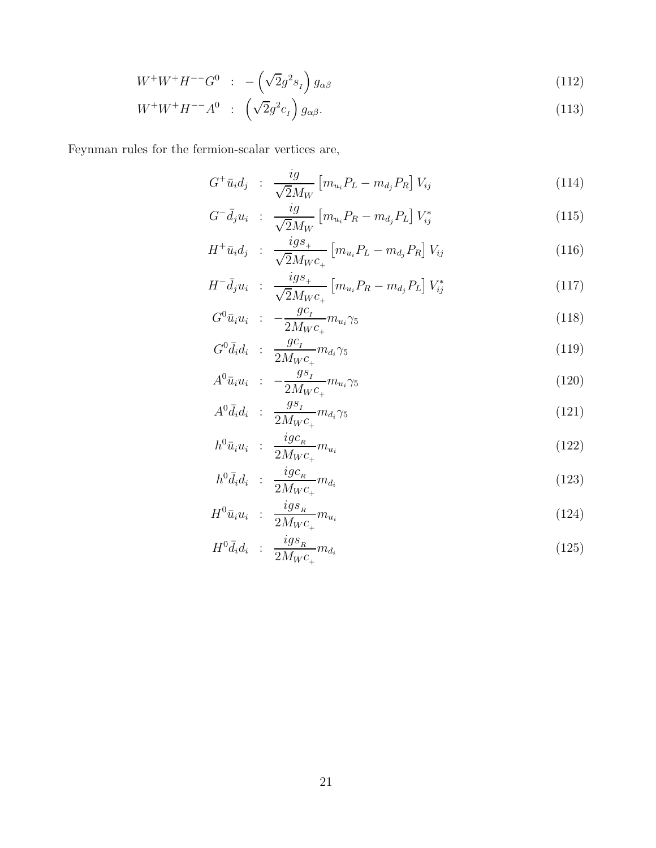$$
W^+W^+H^{--}G^0 \quad : \quad -\left(\sqrt{2}g^2s_I\right)g_{\alpha\beta} \tag{112}
$$

$$
W^+W^+H^{--}A^0 \quad : \quad \left(\sqrt{2}g^2c_I\right)g_{\alpha\beta}.\tag{113}
$$

Feynman rules for the fermion-scalar vertices are,

$$
G^{+}\bar{u}_{i}d_{j} \; : \; \frac{ig}{\sqrt{2}M_{W}} \left[ m_{u_{i}}P_{L} - m_{d_{j}}P_{R} \right]V_{ij} \tag{114}
$$

$$
G^{-} \bar{d}_{j} u_{i} : \frac{i g}{\sqrt{2} M_{W}} \left[ m_{u_{i}} P_{R} - m_{d_{j}} P_{L} \right] V_{ij}^{*}
$$
\n(115)

$$
H^{+}\bar{u}_{i}d_{j} \; : \; \frac{i g s_{+}}{\sqrt{2}M_{W}c_{+}} \left[m_{u_{i}}P_{L}-m_{d_{j}}P_{R}\right]V_{ij} \tag{116}
$$

$$
H^{-} \bar{d}_{j} u_{i} : \frac{i g s_{+}}{\sqrt{2} M_{W} c_{+}} \left[ m_{u_{i}} P_{R} - m_{d_{j}} P_{L} \right] V_{ij}^{*}
$$
\n(117)

$$
G^0 \bar{u}_i u_i \; : \; -\frac{gc_I}{2M_W c_+} m_{u_i} \gamma_5 \tag{118}
$$

$$
G^0 \bar{d}_i d_i \; : \; \frac{gc_i}{2M_W c_+} m_{d_i} \gamma_5 \tag{119}
$$

$$
A^{0}\bar{u}_{i}u_{i} \quad : \quad -\frac{gs_{I}}{2M_{W}c_{+}}m_{u_{i}}\gamma_{5} \tag{120}
$$

$$
A^0 \bar{d}_i d_i : \frac{g s_i}{2M_W c_+} m_{d_i} \gamma_5 \tag{121}
$$

$$
h^0 \bar{u}_i u_i : \frac{i g c_R}{2 M_W c_+} m_{u_i}
$$
\n
$$
(122)
$$

$$
h^0 \bar{d}_i d_i \; : \; \frac{igc_R}{2M_W c_+} m_{d_i} \tag{123}
$$

$$
H^{0}\bar{u}_{i}u_{i} \; : \; \frac{ig_{s_{R}}}{2M_{W}c_{+}}m_{u_{i}} \tag{124}
$$

$$
H^0 \bar{d}_i d_i \; : \; \frac{ig s_{\scriptscriptstyle R}}{2M_W c_+} m_{d_i} \tag{125}
$$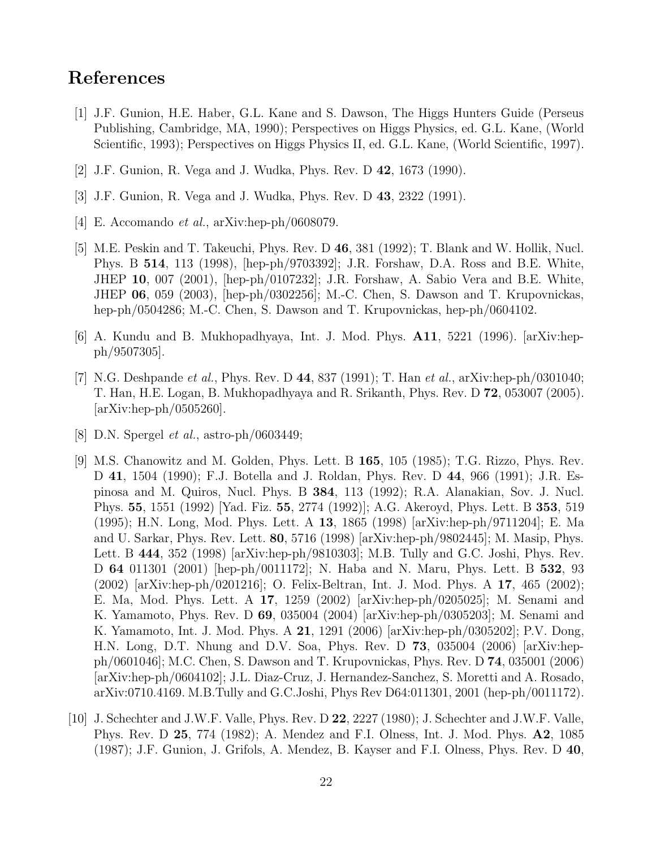## References

- [1] J.F. Gunion, H.E. Haber, G.L. Kane and S. Dawson, The Higgs Hunters Guide (Perseus Publishing, Cambridge, MA, 1990); Perspectives on Higgs Physics, ed. G.L. Kane, (World Scientific, 1993); Perspectives on Higgs Physics II, ed. G.L. Kane, (World Scientific, 1997).
- [2] J.F. Gunion, R. Vega and J. Wudka, Phys. Rev. D 42, 1673 (1990).
- [3] J.F. Gunion, R. Vega and J. Wudka, Phys. Rev. D 43, 2322 (1991).
- [4] E. Accomando *et al.*, arXiv:hep-ph/0608079.
- [5] M.E. Peskin and T. Takeuchi, Phys. Rev. D 46, 381 (1992); T. Blank and W. Hollik, Nucl. Phys. B 514, 113 (1998), [hep-ph/9703392]; J.R. Forshaw, D.A. Ross and B.E. White, JHEP 10, 007 (2001), [hep-ph/0107232]; J.R. Forshaw, A. Sabio Vera and B.E. White, JHEP 06, 059 (2003), [hep-ph/0302256]; M.-C. Chen, S. Dawson and T. Krupovnickas, hep-ph/0504286; M.-C. Chen, S. Dawson and T. Krupovnickas, hep-ph/0604102.
- [6] A. Kundu and B. Mukhopadhyaya, Int. J. Mod. Phys. A11, 5221 (1996). [arXiv:hepph/9507305].
- [7] N.G. Deshpande *et al.*, Phys. Rev. D 44, 837 (1991); T. Han *et al.*, arXiv:hep-ph/0301040; T. Han, H.E. Logan, B. Mukhopadhyaya and R. Srikanth, Phys. Rev. D 72, 053007 (2005).  $\arXiv:hep-ph/0505260$ .
- [8] D.N. Spergel et al., astro-ph/0603449;
- [9] M.S. Chanowitz and M. Golden, Phys. Lett. B 165, 105 (1985); T.G. Rizzo, Phys. Rev. D 41, 1504 (1990); F.J. Botella and J. Roldan, Phys. Rev. D 44, 966 (1991); J.R. Espinosa and M. Quiros, Nucl. Phys. B 384, 113 (1992); R.A. Alanakian, Sov. J. Nucl. Phys. 55, 1551 (1992) [Yad. Fiz. 55, 2774 (1992)]; A.G. Akeroyd, Phys. Lett. B 353, 519 (1995); H.N. Long, Mod. Phys. Lett. A 13, 1865 (1998) [arXiv:hep-ph/9711204]; E. Ma and U. Sarkar, Phys. Rev. Lett. 80, 5716 (1998) [arXiv:hep-ph/9802445]; M. Masip, Phys. Lett. B 444, 352 (1998) [arXiv:hep-ph/9810303]; M.B. Tully and G.C. Joshi, Phys. Rev. D 64 011301 (2001) [hep-ph/0011172]; N. Haba and N. Maru, Phys. Lett. B 532, 93 (2002) [arXiv:hep-ph/0201216]; O. Felix-Beltran, Int. J. Mod. Phys. A 17, 465 (2002); E. Ma, Mod. Phys. Lett. A 17, 1259 (2002) [arXiv:hep-ph/0205025]; M. Senami and K. Yamamoto, Phys. Rev. D 69, 035004 (2004) [arXiv:hep-ph/0305203]; M. Senami and K. Yamamoto, Int. J. Mod. Phys. A 21, 1291 (2006) [arXiv:hep-ph/0305202]; P.V. Dong, H.N. Long, D.T. Nhung and D.V. Soa, Phys. Rev. D 73, 035004 (2006) [arXiv:hepph/0601046]; M.C. Chen, S. Dawson and T. Krupovnickas, Phys. Rev. D 74, 035001 (2006) [arXiv:hep-ph/0604102]; J.L. Diaz-Cruz, J. Hernandez-Sanchez, S. Moretti and A. Rosado, arXiv:0710.4169. M.B.Tully and G.C.Joshi, Phys Rev D64:011301, 2001 (hep-ph/0011172).
- [10] J. Schechter and J.W.F. Valle, Phys. Rev. D 22, 2227 (1980); J. Schechter and J.W.F. Valle, Phys. Rev. D 25, 774 (1982); A. Mendez and F.I. Olness, Int. J. Mod. Phys. A2, 1085 (1987); J.F. Gunion, J. Grifols, A. Mendez, B. Kayser and F.I. Olness, Phys. Rev. D 40,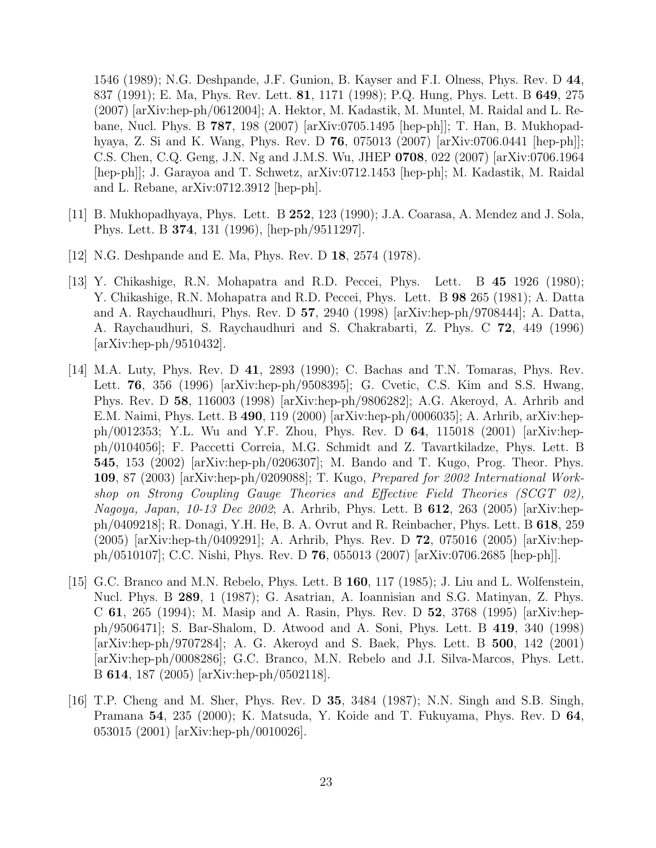1546 (1989); N.G. Deshpande, J.F. Gunion, B. Kayser and F.I. Olness, Phys. Rev. D 44, 837 (1991); E. Ma, Phys. Rev. Lett. 81, 1171 (1998); P.Q. Hung, Phys. Lett. B 649, 275 (2007) [arXiv:hep-ph/0612004]; A. Hektor, M. Kadastik, M. Muntel, M. Raidal and L. Rebane, Nucl. Phys. B 787, 198 (2007) [arXiv:0705.1495 [hep-ph]]; T. Han, B. Mukhopadhyaya, Z. Si and K. Wang, Phys. Rev. D 76, 075013 (2007) [arXiv:0706.0441 [hep-ph]]; C.S. Chen, C.Q. Geng, J.N. Ng and J.M.S. Wu, JHEP 0708, 022 (2007) [arXiv:0706.1964 [hep-ph]]; J. Garayoa and T. Schwetz, arXiv:0712.1453 [hep-ph]; M. Kadastik, M. Raidal and L. Rebane, arXiv:0712.3912 [hep-ph].

- [11] B. Mukhopadhyaya, Phys. Lett. B 252, 123 (1990); J.A. Coarasa, A. Mendez and J. Sola, Phys. Lett. B 374, 131 (1996), [hep-ph/9511297].
- [12] N.G. Deshpande and E. Ma, Phys. Rev. D 18, 2574 (1978).
- [13] Y. Chikashige, R.N. Mohapatra and R.D. Peccei, Phys. Lett. B 45 1926 (1980); Y. Chikashige, R.N. Mohapatra and R.D. Peccei, Phys. Lett. B 98 265 (1981); A. Datta and A. Raychaudhuri, Phys. Rev. D 57, 2940 (1998) [arXiv:hep-ph/9708444]; A. Datta, A. Raychaudhuri, S. Raychaudhuri and S. Chakrabarti, Z. Phys. C 72, 449 (1996) [arXiv:hep-ph/9510432].
- [14] M.A. Luty, Phys. Rev. D 41, 2893 (1990); C. Bachas and T.N. Tomaras, Phys. Rev. Lett. 76, 356 (1996) [arXiv:hep-ph/9508395]; G. Cvetic, C.S. Kim and S.S. Hwang, Phys. Rev. D 58, 116003 (1998) [arXiv:hep-ph/9806282]; A.G. Akeroyd, A. Arhrib and E.M. Naimi, Phys. Lett. B 490, 119 (2000) [arXiv:hep-ph/0006035]; A. Arhrib, arXiv:hepph/0012353; Y.L. Wu and Y.F. Zhou, Phys. Rev. D 64, 115018 (2001) [arXiv:hepph/0104056]; F. Paccetti Correia, M.G. Schmidt and Z. Tavartkiladze, Phys. Lett. B 545, 153 (2002) [arXiv:hep-ph/0206307]; M. Bando and T. Kugo, Prog. Theor. Phys. 109, 87 (2003) [arXiv:hep-ph/0209088]; T. Kugo, Prepared for 2002 International Workshop on Strong Coupling Gauge Theories and Effective Field Theories (SCGT 02), Nagoya, Japan, 10-13 Dec 2002; A. Arhrib, Phys. Lett. B 612, 263 (2005) [arXiv:hepph/0409218]; R. Donagi, Y.H. He, B. A. Ovrut and R. Reinbacher, Phys. Lett. B 618, 259 (2005) [arXiv:hep-th/0409291]; A. Arhrib, Phys. Rev. D 72, 075016 (2005) [arXiv:hepph/0510107]; C.C. Nishi, Phys. Rev. D 76, 055013 (2007) [arXiv:0706.2685 [hep-ph]].
- [15] G.C. Branco and M.N. Rebelo, Phys. Lett. B 160, 117 (1985); J. Liu and L. Wolfenstein, Nucl. Phys. B 289, 1 (1987); G. Asatrian, A. Ioannisian and S.G. Matinyan, Z. Phys. C 61, 265 (1994); M. Masip and A. Rasin, Phys. Rev. D 52, 3768 (1995) [arXiv:hepph/9506471]; S. Bar-Shalom, D. Atwood and A. Soni, Phys. Lett. B 419, 340 (1998) [arXiv:hep-ph/9707284]; A. G. Akeroyd and S. Baek, Phys. Lett. B 500, 142 (2001) [arXiv:hep-ph/0008286]; G.C. Branco, M.N. Rebelo and J.I. Silva-Marcos, Phys. Lett. B 614, 187 (2005) [arXiv:hep-ph/0502118].
- [16] T.P. Cheng and M. Sher, Phys. Rev. D 35, 3484 (1987); N.N. Singh and S.B. Singh, Pramana 54, 235 (2000); K. Matsuda, Y. Koide and T. Fukuyama, Phys. Rev. D 64, 053015 (2001) [arXiv:hep-ph/0010026].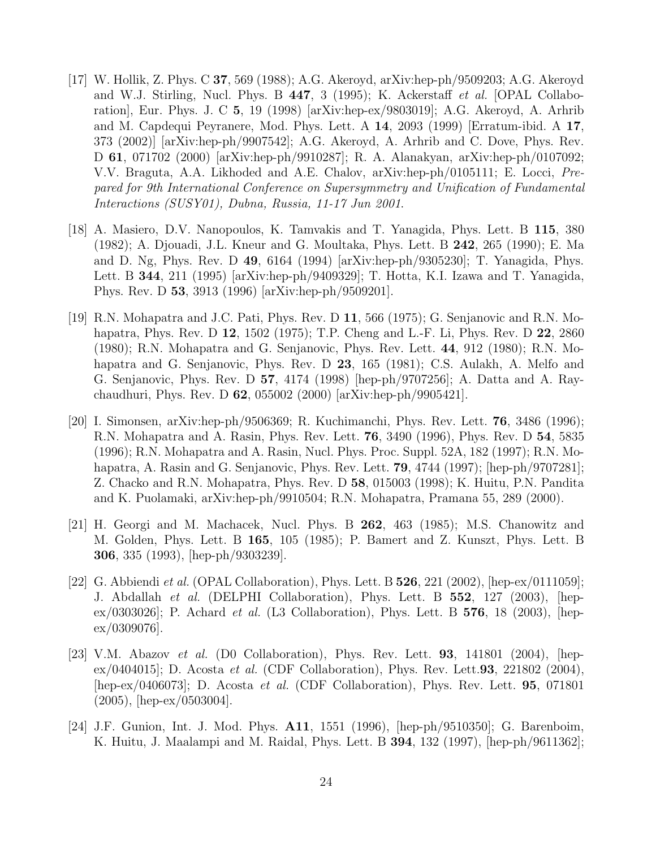- [17] W. Hollik, Z. Phys. C 37, 569 (1988); A.G. Akeroyd, arXiv:hep-ph/9509203; A.G. Akeroyd and W.J. Stirling, Nucl. Phys. B  $447$ , 3 (1995); K. Ackerstaff *et al.* [OPAL Collaboration], Eur. Phys. J. C 5, 19 (1998) [arXiv:hep-ex/9803019]; A.G. Akeroyd, A. Arhrib and M. Capdequi Peyranere, Mod. Phys. Lett. A 14, 2093 (1999) [Erratum-ibid. A 17, 373 (2002)] [arXiv:hep-ph/9907542]; A.G. Akeroyd, A. Arhrib and C. Dove, Phys. Rev. D 61, 071702 (2000) [arXiv:hep-ph/9910287]; R. A. Alanakyan, arXiv:hep-ph/0107092; V.V. Braguta, A.A. Likhoded and A.E. Chalov, arXiv:hep-ph/0105111; E. Locci, Prepared for 9th International Conference on Supersymmetry and Unification of Fundamental Interactions (SUSY01), Dubna, Russia, 11-17 Jun 2001.
- [18] A. Masiero, D.V. Nanopoulos, K. Tamvakis and T. Yanagida, Phys. Lett. B 115, 380 (1982); A. Djouadi, J.L. Kneur and G. Moultaka, Phys. Lett. B 242, 265 (1990); E. Ma and D. Ng, Phys. Rev. D 49, 6164 (1994) [arXiv:hep-ph/9305230]; T. Yanagida, Phys. Lett. B 344, 211 (1995) [arXiv:hep-ph/9409329]; T. Hotta, K.I. Izawa and T. Yanagida, Phys. Rev. D 53, 3913 (1996) [arXiv:hep-ph/9509201].
- [19] R.N. Mohapatra and J.C. Pati, Phys. Rev. D 11, 566 (1975); G. Senjanovic and R.N. Mohapatra, Phys. Rev. D 12, 1502 (1975); T.P. Cheng and L.-F. Li, Phys. Rev. D 22, 2860 (1980); R.N. Mohapatra and G. Senjanovic, Phys. Rev. Lett. 44, 912 (1980); R.N. Mohapatra and G. Senjanovic, Phys. Rev. D 23, 165 (1981); C.S. Aulakh, A. Melfo and G. Senjanovic, Phys. Rev. D 57, 4174 (1998) [hep-ph/9707256]; A. Datta and A. Raychaudhuri, Phys. Rev. D 62, 055002 (2000) [arXiv:hep-ph/9905421].
- [20] I. Simonsen, arXiv:hep-ph/9506369; R. Kuchimanchi, Phys. Rev. Lett. 76, 3486 (1996); R.N. Mohapatra and A. Rasin, Phys. Rev. Lett. 76, 3490 (1996), Phys. Rev. D 54, 5835 (1996); R.N. Mohapatra and A. Rasin, Nucl. Phys. Proc. Suppl. 52A, 182 (1997); R.N. Mohapatra, A. Rasin and G. Senjanovic, Phys. Rev. Lett. **79**, 4744 (1997); [hep-ph/9707281]; Z. Chacko and R.N. Mohapatra, Phys. Rev. D 58, 015003 (1998); K. Huitu, P.N. Pandita and K. Puolamaki, arXiv:hep-ph/9910504; R.N. Mohapatra, Pramana 55, 289 (2000).
- [21] H. Georgi and M. Machacek, Nucl. Phys. B 262, 463 (1985); M.S. Chanowitz and M. Golden, Phys. Lett. B 165, 105 (1985); P. Bamert and Z. Kunszt, Phys. Lett. B 306, 335 (1993), [hep-ph/9303239].
- [22] G. Abbiendi *et al.* (OPAL Collaboration), Phys. Lett. B  $526$ ,  $221$  (2002), [hep-ex/0111059]; J. Abdallah et al. (DELPHI Collaboration), Phys. Lett. B 552, 127 (2003), [hep- $\exp(0303026)$ ; P. Achard *et al.* (L3 Collaboration), Phys. Lett. B 576, 18 (2003), [hep $ex/0309076$ .
- [23] V.M. Abazov et al. (D0 Collaboration), Phys. Rev. Lett.  $93, 141801$  (2004), [hepex/0404015]; D. Acosta *et al.* (CDF Collaboration), Phys. Rev. Lett. **93**, 221802 (2004), [hep-ex/0406073]; D. Acosta et al. (CDF Collaboration), Phys. Rev. Lett. 95, 071801 (2005), [hep-ex/0503004].
- [24] J.F. Gunion, Int. J. Mod. Phys. A11, 1551 (1996), [hep-ph/9510350]; G. Barenboim, K. Huitu, J. Maalampi and M. Raidal, Phys. Lett. B 394, 132 (1997), [hep-ph/9611362];